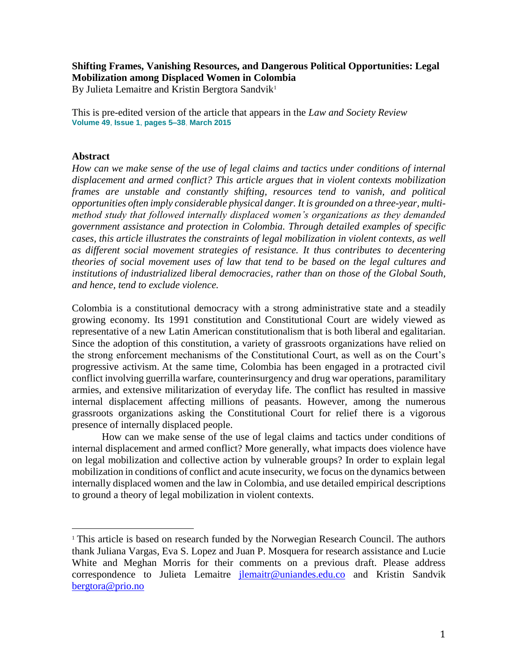### **Shifting Frames, Vanishing Resources, and Dangerous Political Opportunities: Legal Mobilization among Displaced Women in Colombia**

By Julieta Lemaitre and Kristin Bergtora Sandvik<sup>1</sup>

This is pre-edited version of the article that appears in the *Law and Society Review* **[Volume](http://onlinelibrary.wiley.com/doi/10.1111/lasr.v49.1/issuetoc) 49**, **Issue 1**, **pages 5–38**, **March 2015**

#### **Abstract**

 $\overline{a}$ 

*How can we make sense of the use of legal claims and tactics under conditions of internal displacement and armed conflict? This article argues that in violent contexts mobilization frames are unstable and constantly shifting, resources tend to vanish, and political opportunities often imply considerable physical danger. It is grounded on a three-year, multimethod study that followed internally displaced women's organizations as they demanded government assistance and protection in Colombia. Through detailed examples of specific cases, this article illustrates the constraints of legal mobilization in violent contexts, as well as different social movement strategies of resistance. It thus contributes to decentering theories of social movement uses of law that tend to be based on the legal cultures and institutions of industrialized liberal democracies, rather than on those of the Global South, and hence, tend to exclude violence.* 

Colombia is a constitutional democracy with a strong administrative state and a steadily growing economy. Its 1991 constitution and Constitutional Court are widely viewed as representative of a new Latin American constitutionalism that is both liberal and egalitarian. Since the adoption of this constitution, a variety of grassroots organizations have relied on the strong enforcement mechanisms of the Constitutional Court, as well as on the Court's progressive activism. At the same time, Colombia has been engaged in a protracted civil conflict involving guerrilla warfare, counterinsurgency and drug war operations, paramilitary armies, and extensive militarization of everyday life. The conflict has resulted in massive internal displacement affecting millions of peasants. However, among the numerous grassroots organizations asking the Constitutional Court for relief there is a vigorous presence of internally displaced people.

How can we make sense of the use of legal claims and tactics under conditions of internal displacement and armed conflict? More generally, what impacts does violence have on legal mobilization and collective action by vulnerable groups? In order to explain legal mobilization in conditions of conflict and acute insecurity, we focus on the dynamics between internally displaced women and the law in Colombia, and use detailed empirical descriptions to ground a theory of legal mobilization in violent contexts.

<sup>&</sup>lt;sup>1</sup> This article is based on research funded by the Norwegian Research Council. The authors thank Juliana Vargas, Eva S. Lopez and Juan P. Mosquera for research assistance and Lucie White and Meghan Morris for their comments on a previous draft. Please address correspondence to Julieta Lemaitre *ilemaitr@uniandes.edu.co* and Kristin Sandvik [bergtora@prio.no](mailto:bergtora@prio.no)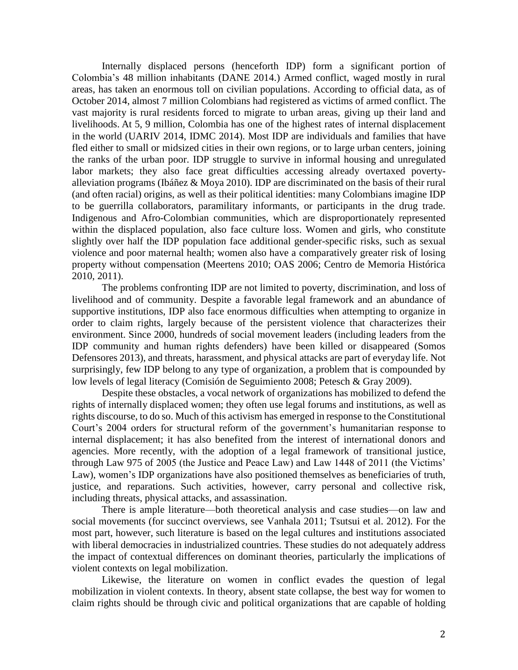Internally displaced persons (henceforth IDP) form a significant portion of Colombia's 48 million inhabitants (DANE 2014.) Armed conflict, waged mostly in rural areas, has taken an enormous toll on civilian populations. According to official data, as of October 2014, almost 7 million Colombians had registered as victims of armed conflict. The vast majority is rural residents forced to migrate to urban areas, giving up their land and livelihoods. At 5, 9 million, Colombia has one of the highest rates of internal displacement in the world (UARIV 2014, IDMC 2014). Most IDP are individuals and families that have fled either to small or midsized cities in their own regions, or to large urban centers, joining the ranks of the urban poor. IDP struggle to survive in informal housing and unregulated labor markets; they also face great difficulties accessing already overtaxed povertyalleviation programs (Ibáñez & Moya 2010). IDP are discriminated on the basis of their rural (and often racial) origins, as well as their political identities: many Colombians imagine IDP to be guerrilla collaborators, paramilitary informants, or participants in the drug trade. Indigenous and Afro-Colombian communities, which are disproportionately represented within the displaced population, also face culture loss. Women and girls, who constitute slightly over half the IDP population face additional gender-specific risks, such as sexual violence and poor maternal health; women also have a comparatively greater risk of losing property without compensation (Meertens 2010; OAS 2006; Centro de Memoria Histórica 2010, 2011).

The problems confronting IDP are not limited to poverty, discrimination, and loss of livelihood and of community. Despite a favorable legal framework and an abundance of supportive institutions, IDP also face enormous difficulties when attempting to organize in order to claim rights, largely because of the persistent violence that characterizes their environment. Since 2000, hundreds of social movement leaders (including leaders from the IDP community and human rights defenders) have been killed or disappeared (Somos Defensores 2013), and threats, harassment, and physical attacks are part of everyday life. Not surprisingly, few IDP belong to any type of organization, a problem that is compounded by low levels of legal literacy (Comisión de Seguimiento 2008; Petesch & Gray 2009).

Despite these obstacles, a vocal network of organizations has mobilized to defend the rights of internally displaced women; they often use legal forums and institutions, as well as rights discourse, to do so. Much of this activism has emerged in response to the Constitutional Court's 2004 orders for structural reform of the government's humanitarian response to internal displacement; it has also benefited from the interest of international donors and agencies. More recently, with the adoption of a legal framework of transitional justice, through Law 975 of 2005 (the Justice and Peace Law) and Law 1448 of 2011 (the Victims' Law), women's IDP organizations have also positioned themselves as beneficiaries of truth, justice, and reparations. Such activities, however, carry personal and collective risk, including threats, physical attacks, and assassination.

There is ample literature—both theoretical analysis and case studies—on law and social movements (for succinct overviews, see Vanhala 2011; Tsutsui et al. 2012). For the most part, however, such literature is based on the legal cultures and institutions associated with liberal democracies in industrialized countries. These studies do not adequately address the impact of contextual differences on dominant theories, particularly the implications of violent contexts on legal mobilization.

Likewise, the literature on women in conflict evades the question of legal mobilization in violent contexts. In theory, absent state collapse, the best way for women to claim rights should be through civic and political organizations that are capable of holding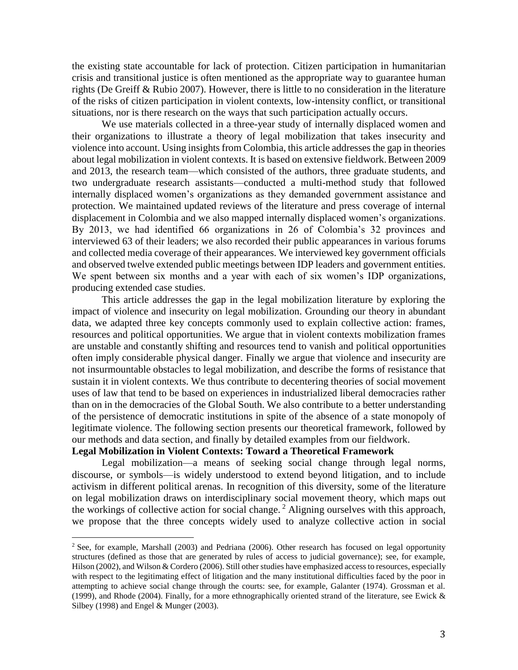the existing state accountable for lack of protection. Citizen participation in humanitarian crisis and transitional justice is often mentioned as the appropriate way to guarantee human rights (De Greiff & Rubio 2007). However, there is little to no consideration in the literature of the risks of citizen participation in violent contexts, low-intensity conflict, or transitional situations, nor is there research on the ways that such participation actually occurs.

We use materials collected in a three-year study of internally displaced women and their organizations to illustrate a theory of legal mobilization that takes insecurity and violence into account. Using insights from Colombia, this article addresses the gap in theories about legal mobilization in violent contexts. It is based on extensive fieldwork. Between 2009 and 2013, the research team—which consisted of the authors, three graduate students, and two undergraduate research assistants—conducted a multi-method study that followed internally displaced women's organizations as they demanded government assistance and protection. We maintained updated reviews of the literature and press coverage of internal displacement in Colombia and we also mapped internally displaced women's organizations. By 2013, we had identified 66 organizations in 26 of Colombia's 32 provinces and interviewed 63 of their leaders; we also recorded their public appearances in various forums and collected media coverage of their appearances. We interviewed key government officials and observed twelve extended public meetings between IDP leaders and government entities. We spent between six months and a year with each of six women's IDP organizations, producing extended case studies.

This article addresses the gap in the legal mobilization literature by exploring the impact of violence and insecurity on legal mobilization. Grounding our theory in abundant data, we adapted three key concepts commonly used to explain collective action: frames, resources and political opportunities. We argue that in violent contexts mobilization frames are unstable and constantly shifting and resources tend to vanish and political opportunities often imply considerable physical danger. Finally we argue that violence and insecurity are not insurmountable obstacles to legal mobilization, and describe the forms of resistance that sustain it in violent contexts. We thus contribute to decentering theories of social movement uses of law that tend to be based on experiences in industrialized liberal democracies rather than on in the democracies of the Global South. We also contribute to a better understanding of the persistence of democratic institutions in spite of the absence of a state monopoly of legitimate violence. The following section presents our theoretical framework, followed by our methods and data section, and finally by detailed examples from our fieldwork.

## **Legal Mobilization in Violent Contexts: Toward a Theoretical Framework**

 $\overline{a}$ 

Legal mobilization—a means of seeking social change through legal norms, discourse, or symbols—is widely understood to extend beyond litigation, and to include activism in different political arenas. In recognition of this diversity, some of the literature on legal mobilization draws on interdisciplinary social movement theory, which maps out the workings of collective action for social change. <sup>2</sup> Aligning ourselves with this approach, we propose that the three concepts widely used to analyze collective action in social

<sup>&</sup>lt;sup>2</sup> See, for example, Marshall (2003) and Pedriana (2006). Other research has focused on legal opportunity structures (defined as those that are generated by rules of access to judicial governance); see, for example, Hilson (2002), and Wilson & Cordero (2006). Still other studies have emphasized access to resources, especially with respect to the legitimating effect of litigation and the many institutional difficulties faced by the poor in attempting to achieve social change through the courts: see, for example, Galanter (1974). Grossman et al. (1999), and Rhode (2004). Finally, for a more ethnographically oriented strand of the literature, see Ewick & Silbey (1998) and Engel & Munger (2003).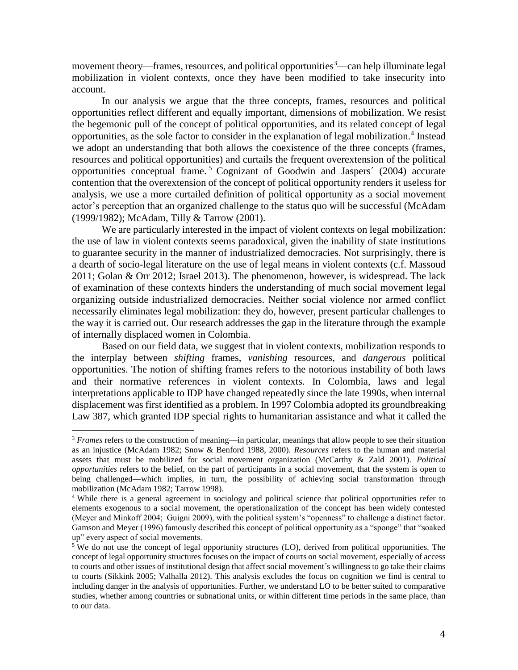movement theory—frames, resources, and political opportunities<sup>3</sup>—can help illuminate legal mobilization in violent contexts, once they have been modified to take insecurity into account.

In our analysis we argue that the three concepts, frames, resources and political opportunities reflect different and equally important, dimensions of mobilization. We resist the hegemonic pull of the concept of political opportunities, and its related concept of legal opportunities, as the sole factor to consider in the explanation of legal mobilization.<sup>4</sup> Instead we adopt an understanding that both allows the coexistence of the three concepts (frames, resources and political opportunities) and curtails the frequent overextension of the political opportunities conceptual frame. <sup>5</sup> Cognizant of Goodwin and Jaspers´ (2004) accurate contention that the overextension of the concept of political opportunity renders it useless for analysis, we use a more curtailed definition of political opportunity as a social movement actor's perception that an organized challenge to the status quo will be successful (McAdam (1999/1982); McAdam, Tilly & Tarrow (2001).

We are particularly interested in the impact of violent contexts on legal mobilization: the use of law in violent contexts seems paradoxical, given the inability of state institutions to guarantee security in the manner of industrialized democracies. Not surprisingly, there is a dearth of socio-legal literature on the use of legal means in violent contexts (c.f. Massoud 2011; Golan & Orr 2012; Israel 2013). The phenomenon, however, is widespread. The lack of examination of these contexts hinders the understanding of much social movement legal organizing outside industrialized democracies. Neither social violence nor armed conflict necessarily eliminates legal mobilization: they do, however, present particular challenges to the way it is carried out. Our research addresses the gap in the literature through the example of internally displaced women in Colombia.

Based on our field data, we suggest that in violent contexts, mobilization responds to the interplay between *shifting* frames, *vanishing* resources, and *dangerous* political opportunities. The notion of shifting frames refers to the notorious instability of both laws and their normative references in violent contexts. In Colombia, laws and legal interpretations applicable to IDP have changed repeatedly since the late 1990s, when internal displacement was first identified as a problem. In 1997 Colombia adopted its groundbreaking Law 387, which granted IDP special rights to humanitarian assistance and what it called the

 $\overline{a}$ 

<sup>&</sup>lt;sup>3</sup> *Frames* refers to the construction of meaning—in particular, meanings that allow people to see their situation as an injustice (McAdam 1982; Snow & Benford 1988, 2000). *Resources* refers to the human and material assets that must be mobilized for social movement organization (McCarthy & Zald 2001). *Political opportunities* refers to the belief, on the part of participants in a social movement, that the system is open to being challenged—which implies, in turn, the possibility of achieving social transformation through mobilization (McAdam 1982; Tarrow 1998).

<sup>4</sup> While there is a general agreement in sociology and political science that political opportunities refer to elements exogenous to a social movement, the operationalization of the concept has been widely contested (Meyer and Minkoff 2004; Guigni 2009), with the political system's "openness" to challenge a distinct factor. Gamson and Meyer (1996) famously described this concept of political opportunity as a "sponge" that "soaked up" every aspect of social movements.

<sup>&</sup>lt;sup>5</sup> We do not use the concept of legal opportunity structures (LO), derived from political opportunities. The concept of legal opportunity structures focuses on the impact of courts on social movement, especially of access to courts and other issues of institutional design that affect social movement´s willingness to go take their claims to courts (Sikkink 2005; Valhalla 2012). This analysis excludes the focus on cognition we find is central to including danger in the analysis of opportunities. Further, we understand LO to be better suited to comparative studies, whether among countries or subnational units, or within different time periods in the same place, than to our data.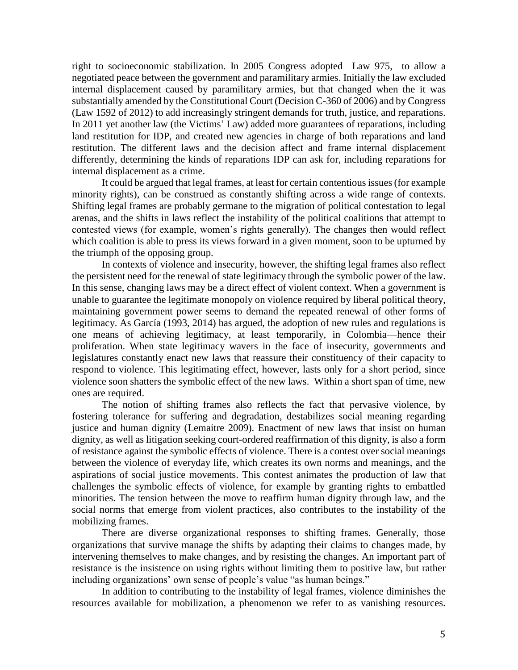right to socioeconomic stabilization. In 2005 Congress adopted Law 975, to allow a negotiated peace between the government and paramilitary armies. Initially the law excluded internal displacement caused by paramilitary armies, but that changed when the it was substantially amended by the Constitutional Court (Decision C-360 of 2006) and by Congress (Law 1592 of 2012) to add increasingly stringent demands for truth, justice, and reparations. In 2011 yet another law (the Victims' Law) added more guarantees of reparations, including land restitution for IDP, and created new agencies in charge of both reparations and land restitution. The different laws and the decision affect and frame internal displacement differently, determining the kinds of reparations IDP can ask for, including reparations for internal displacement as a crime.

It could be argued that legal frames, at least for certain contentious issues (for example minority rights), can be construed as constantly shifting across a wide range of contexts. Shifting legal frames are probably germane to the migration of political contestation to legal arenas, and the shifts in laws reflect the instability of the political coalitions that attempt to contested views (for example, women's rights generally). The changes then would reflect which coalition is able to press its views forward in a given moment, soon to be upturned by the triumph of the opposing group.

In contexts of violence and insecurity, however, the shifting legal frames also reflect the persistent need for the renewal of state legitimacy through the symbolic power of the law. In this sense, changing laws may be a direct effect of violent context. When a government is unable to guarantee the legitimate monopoly on violence required by liberal political theory, maintaining government power seems to demand the repeated renewal of other forms of legitimacy. As García (1993, 2014) has argued, the adoption of new rules and regulations is one means of achieving legitimacy, at least temporarily, in Colombia—hence their proliferation. When state legitimacy wavers in the face of insecurity, governments and legislatures constantly enact new laws that reassure their constituency of their capacity to respond to violence. This legitimating effect, however, lasts only for a short period, since violence soon shatters the symbolic effect of the new laws. Within a short span of time, new ones are required.

The notion of shifting frames also reflects the fact that pervasive violence, by fostering tolerance for suffering and degradation, destabilizes social meaning regarding justice and human dignity (Lemaitre 2009). Enactment of new laws that insist on human dignity, as well as litigation seeking court-ordered reaffirmation of this dignity, is also a form of resistance against the symbolic effects of violence. There is a contest over social meanings between the violence of everyday life, which creates its own norms and meanings, and the aspirations of social justice movements. This contest animates the production of law that challenges the symbolic effects of violence, for example by granting rights to embattled minorities. The tension between the move to reaffirm human dignity through law, and the social norms that emerge from violent practices, also contributes to the instability of the mobilizing frames.

There are diverse organizational responses to shifting frames. Generally, those organizations that survive manage the shifts by adapting their claims to changes made, by intervening themselves to make changes, and by resisting the changes. An important part of resistance is the insistence on using rights without limiting them to positive law, but rather including organizations' own sense of people's value "as human beings."

In addition to contributing to the instability of legal frames, violence diminishes the resources available for mobilization, a phenomenon we refer to as vanishing resources.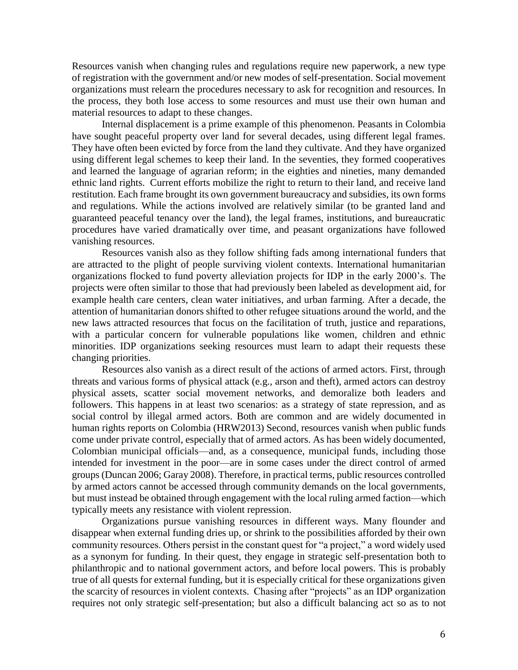Resources vanish when changing rules and regulations require new paperwork, a new type of registration with the government and/or new modes of self-presentation. Social movement organizations must relearn the procedures necessary to ask for recognition and resources. In the process, they both lose access to some resources and must use their own human and material resources to adapt to these changes.

Internal displacement is a prime example of this phenomenon. Peasants in Colombia have sought peaceful property over land for several decades, using different legal frames. They have often been evicted by force from the land they cultivate. And they have organized using different legal schemes to keep their land. In the seventies, they formed cooperatives and learned the language of agrarian reform; in the eighties and nineties, many demanded ethnic land rights. Current efforts mobilize the right to return to their land, and receive land restitution. Each frame brought its own government bureaucracy and subsidies, its own forms and regulations. While the actions involved are relatively similar (to be granted land and guaranteed peaceful tenancy over the land), the legal frames, institutions, and bureaucratic procedures have varied dramatically over time, and peasant organizations have followed vanishing resources.

Resources vanish also as they follow shifting fads among international funders that are attracted to the plight of people surviving violent contexts. International humanitarian organizations flocked to fund poverty alleviation projects for IDP in the early 2000's. The projects were often similar to those that had previously been labeled as development aid, for example health care centers, clean water initiatives, and urban farming. After a decade, the attention of humanitarian donors shifted to other refugee situations around the world, and the new laws attracted resources that focus on the facilitation of truth, justice and reparations, with a particular concern for vulnerable populations like women, children and ethnic minorities. IDP organizations seeking resources must learn to adapt their requests these changing priorities.

Resources also vanish as a direct result of the actions of armed actors. First, through threats and various forms of physical attack (e.g., arson and theft), armed actors can destroy physical assets, scatter social movement networks, and demoralize both leaders and followers. This happens in at least two scenarios: as a strategy of state repression, and as social control by illegal armed actors. Both are common and are widely documented in human rights reports on Colombia (HRW2013) Second, resources vanish when public funds come under private control, especially that of armed actors. As has been widely documented, Colombian municipal officials—and, as a consequence, municipal funds, including those intended for investment in the poor—are in some cases under the direct control of armed groups (Duncan 2006; Garay 2008). Therefore, in practical terms, public resources controlled by armed actors cannot be accessed through community demands on the local governments, but must instead be obtained through engagement with the local ruling armed faction—which typically meets any resistance with violent repression.

Organizations pursue vanishing resources in different ways. Many flounder and disappear when external funding dries up, or shrink to the possibilities afforded by their own community resources. Others persist in the constant quest for "a project," a word widely used as a synonym for funding. In their quest, they engage in strategic self-presentation both to philanthropic and to national government actors, and before local powers. This is probably true of all quests for external funding, but it is especially critical for these organizations given the scarcity of resources in violent contexts. Chasing after "projects" as an IDP organization requires not only strategic self-presentation; but also a difficult balancing act so as to not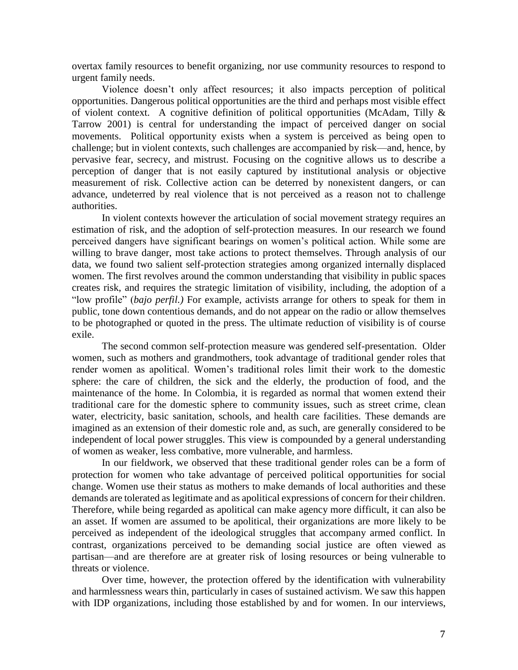overtax family resources to benefit organizing, nor use community resources to respond to urgent family needs.

Violence doesn't only affect resources; it also impacts perception of political opportunities. Dangerous political opportunities are the third and perhaps most visible effect of violent context. A cognitive definition of political opportunities (McAdam, Tilly & Tarrow 2001) is central for understanding the impact of perceived danger on social movements. Political opportunity exists when a system is perceived as being open to challenge; but in violent contexts, such challenges are accompanied by risk—and, hence, by pervasive fear, secrecy, and mistrust. Focusing on the cognitive allows us to describe a perception of danger that is not easily captured by institutional analysis or objective measurement of risk. Collective action can be deterred by nonexistent dangers, or can advance, undeterred by real violence that is not perceived as a reason not to challenge authorities.

In violent contexts however the articulation of social movement strategy requires an estimation of risk, and the adoption of self-protection measures. In our research we found perceived dangers have significant bearings on women's political action. While some are willing to brave danger, most take actions to protect themselves. Through analysis of our data, we found two salient self-protection strategies among organized internally displaced women. The first revolves around the common understanding that visibility in public spaces creates risk, and requires the strategic limitation of visibility, including, the adoption of a "low profile" (*bajo perfil.)* For example, activists arrange for others to speak for them in public, tone down contentious demands, and do not appear on the radio or allow themselves to be photographed or quoted in the press. The ultimate reduction of visibility is of course exile.

The second common self-protection measure was gendered self-presentation. Older women, such as mothers and grandmothers, took advantage of traditional gender roles that render women as apolitical. Women's traditional roles limit their work to the domestic sphere: the care of children, the sick and the elderly, the production of food, and the maintenance of the home. In Colombia, it is regarded as normal that women extend their traditional care for the domestic sphere to community issues, such as street crime, clean water, electricity, basic sanitation, schools, and health care facilities. These demands are imagined as an extension of their domestic role and, as such, are generally considered to be independent of local power struggles. This view is compounded by a general understanding of women as weaker, less combative, more vulnerable, and harmless.

In our fieldwork, we observed that these traditional gender roles can be a form of protection for women who take advantage of perceived political opportunities for social change. Women use their status as mothers to make demands of local authorities and these demands are tolerated as legitimate and as apolitical expressions of concern for their children. Therefore, while being regarded as apolitical can make agency more difficult, it can also be an asset. If women are assumed to be apolitical, their organizations are more likely to be perceived as independent of the ideological struggles that accompany armed conflict. In contrast, organizations perceived to be demanding social justice are often viewed as partisan—and are therefore are at greater risk of losing resources or being vulnerable to threats or violence.

Over time, however, the protection offered by the identification with vulnerability and harmlessness wears thin, particularly in cases of sustained activism. We saw this happen with IDP organizations, including those established by and for women. In our interviews,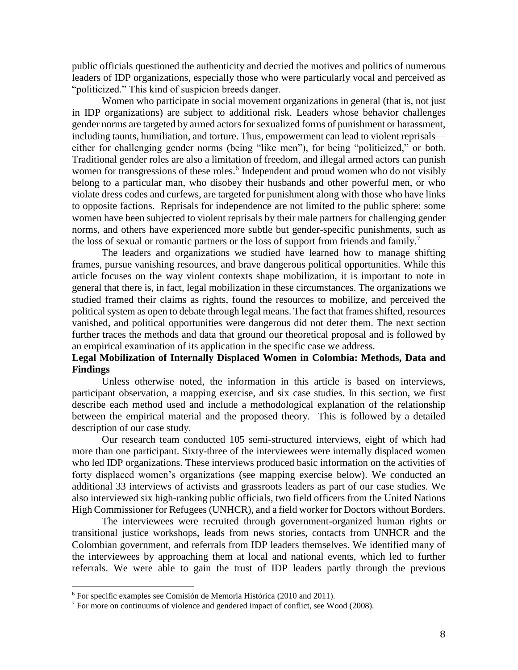public officials questioned the authenticity and decried the motives and politics of numerous leaders of IDP organizations, especially those who were particularly vocal and perceived as "politicized." This kind of suspicion breeds danger.

Women who participate in social movement organizations in general (that is, not just in IDP organizations) are subject to additional risk. Leaders whose behavior challenges gender norms are targeted by armed actors for sexualized forms of punishment or harassment, including taunts, humiliation, and torture. Thus, empowerment can lead to violent reprisals either for challenging gender norms (being "like men"), for being "politicized," or both. Traditional gender roles are also a limitation of freedom, and illegal armed actors can punish women for transgressions of these roles.<sup>6</sup> Independent and proud women who do not visibly belong to a particular man, who disobey their husbands and other powerful men, or who violate dress codes and curfews, are targeted for punishment along with those who have links to opposite factions. Reprisals for independence are not limited to the public sphere: some women have been subjected to violent reprisals by their male partners for challenging gender norms, and others have experienced more subtle but gender-specific punishments, such as the loss of sexual or romantic partners or the loss of support from friends and family.<sup>7</sup>

The leaders and organizations we studied have learned how to manage shifting frames, pursue vanishing resources, and brave dangerous political opportunities. While this article focuses on the way violent contexts shape mobilization, it is important to note in general that there is, in fact, legal mobilization in these circumstances. The organizations we studied framed their claims as rights, found the resources to mobilize, and perceived the political system as open to debate through legal means. The fact that frames shifted, resources vanished, and political opportunities were dangerous did not deter them. The next section further traces the methods and data that ground our theoretical proposal and is followed by an empirical examination of its application in the specific case we address.

# **Legal Mobilization of Internally Displaced Women in Colombia: Methods, Data and Findings**

Unless otherwise noted, the information in this article is based on interviews, participant observation, a mapping exercise, and six case studies. In this section, we first describe each method used and include a methodological explanation of the relationship between the empirical material and the proposed theory. This is followed by a detailed description of our case study.

Our research team conducted 105 semi-structured interviews, eight of which had more than one participant. Sixty-three of the interviewees were internally displaced women who led IDP organizations. These interviews produced basic information on the activities of forty displaced women's organizations (see mapping exercise below). We conducted an additional 33 interviews of activists and grassroots leaders as part of our case studies. We also interviewed six high-ranking public officials, two field officers from the United Nations High Commissioner for Refugees (UNHCR), and a field worker for Doctors without Borders.

The interviewees were recruited through government-organized human rights or transitional justice workshops, leads from news stories, contacts from UNHCR and the Colombian government, and referrals from IDP leaders themselves. We identified many of the interviewees by approaching them at local and national events, which led to further referrals. We were able to gain the trust of IDP leaders partly through the previous

 $\overline{a}$ 

<sup>6</sup> For specific examples see Comisión de Memoria Histórica (2010 and 2011).

<sup>7</sup> For more on continuums of violence and gendered impact of conflict, see Wood (2008).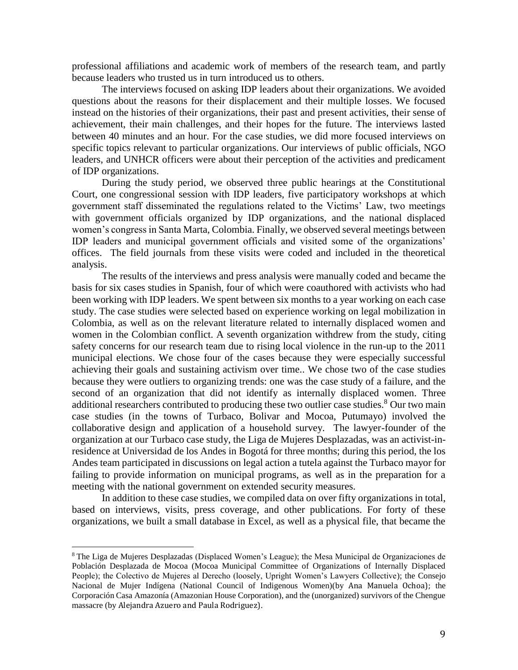professional affiliations and academic work of members of the research team, and partly because leaders who trusted us in turn introduced us to others.

The interviews focused on asking IDP leaders about their organizations. We avoided questions about the reasons for their displacement and their multiple losses. We focused instead on the histories of their organizations, their past and present activities, their sense of achievement, their main challenges, and their hopes for the future. The interviews lasted between 40 minutes and an hour. For the case studies, we did more focused interviews on specific topics relevant to particular organizations. Our interviews of public officials, NGO leaders, and UNHCR officers were about their perception of the activities and predicament of IDP organizations.

During the study period, we observed three public hearings at the Constitutional Court, one congressional session with IDP leaders, five participatory workshops at which government staff disseminated the regulations related to the Victims' Law, two meetings with government officials organized by IDP organizations, and the national displaced women's congress in Santa Marta, Colombia. Finally, we observed several meetings between IDP leaders and municipal government officials and visited some of the organizations' offices. The field journals from these visits were coded and included in the theoretical analysis.

The results of the interviews and press analysis were manually coded and became the basis for six cases studies in Spanish, four of which were coauthored with activists who had been working with IDP leaders. We spent between six months to a year working on each case study. The case studies were selected based on experience working on legal mobilization in Colombia, as well as on the relevant literature related to internally displaced women and women in the Colombian conflict. A seventh organization withdrew from the study, citing safety concerns for our research team due to rising local violence in the run-up to the 2011 municipal elections. We chose four of the cases because they were especially successful achieving their goals and sustaining activism over time.. We chose two of the case studies because they were outliers to organizing trends: one was the case study of a failure, and the second of an organization that did not identify as internally displaced women. Three additional researchers contributed to producing these two outlier case studies.<sup>8</sup> Our two main case studies (in the towns of Turbaco, Bolivar and Mocoa, Putumayo) involved the collaborative design and application of a household survey. The lawyer-founder of the organization at our Turbaco case study, the Liga de Mujeres Desplazadas, was an activist-inresidence at Universidad de los Andes in Bogotá for three months; during this period, the los Andes team participated in discussions on legal action a tutela against the Turbaco mayor for failing to provide information on municipal programs, as well as in the preparation for a meeting with the national government on extended security measures.

In addition to these case studies, we compiled data on over fifty organizations in total, based on interviews, visits, press coverage, and other publications. For forty of these organizations, we built a small database in Excel, as well as a physical file, that became the

 $\overline{a}$ 

<sup>8</sup> The Liga de Mujeres Desplazadas (Displaced Women's League); the Mesa Municipal de Organizaciones de Población Desplazada de Mocoa (Mocoa Municipal Committee of Organizations of Internally Displaced People); the Colectivo de Mujeres al Derecho (loosely, Upright Women's Lawyers Collective); the Consejo Nacional de Mujer Indígena (National Council of Indigenous Women)(by Ana Manuela Ochoa); the Corporación Casa Amazonía (Amazonian House Corporation), and the (unorganized) survivors of the Chengue massacre (by Alejandra Azuero and Paula Rodriguez).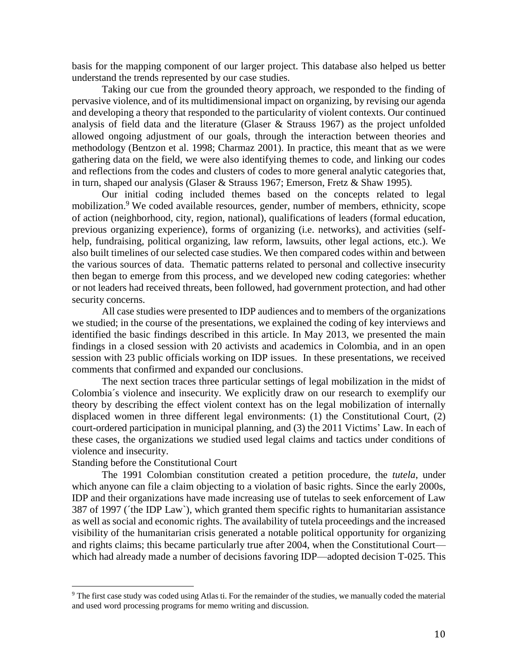basis for the mapping component of our larger project. This database also helped us better understand the trends represented by our case studies.

Taking our cue from the grounded theory approach, we responded to the finding of pervasive violence, and of its multidimensional impact on organizing, by revising our agenda and developing a theory that responded to the particularity of violent contexts. Our continued analysis of field data and the literature (Glaser & Strauss 1967) as the project unfolded allowed ongoing adjustment of our goals, through the interaction between theories and methodology (Bentzon et al. 1998; Charmaz 2001). In practice, this meant that as we were gathering data on the field, we were also identifying themes to code, and linking our codes and reflections from the codes and clusters of codes to more general analytic categories that, in turn, shaped our analysis (Glaser & Strauss 1967; Emerson, Fretz & Shaw 1995).

Our initial coding included themes based on the concepts related to legal mobilization.<sup>9</sup> We coded available resources, gender, number of members, ethnicity, scope of action (neighborhood, city, region, national), qualifications of leaders (formal education, previous organizing experience), forms of organizing (i.e. networks), and activities (selfhelp, fundraising, political organizing, law reform, lawsuits, other legal actions, etc.). We also built timelines of our selected case studies. We then compared codes within and between the various sources of data. Thematic patterns related to personal and collective insecurity then began to emerge from this process, and we developed new coding categories: whether or not leaders had received threats, been followed, had government protection, and had other security concerns.

All case studies were presented to IDP audiences and to members of the organizations we studied; in the course of the presentations, we explained the coding of key interviews and identified the basic findings described in this article. In May 2013, we presented the main findings in a closed session with 20 activists and academics in Colombia, and in an open session with 23 public officials working on IDP issues. In these presentations, we received comments that confirmed and expanded our conclusions.

The next section traces three particular settings of legal mobilization in the midst of Colombia´s violence and insecurity. We explicitly draw on our research to exemplify our theory by describing the effect violent context has on the legal mobilization of internally displaced women in three different legal environments: (1) the Constitutional Court, (2) court-ordered participation in municipal planning, and (3) the 2011 Victims' Law. In each of these cases, the organizations we studied used legal claims and tactics under conditions of violence and insecurity.

#### Standing before the Constitutional Court

 $\overline{a}$ 

The 1991 Colombian constitution created a petition procedure, the *tutela*, under which anyone can file a claim objecting to a violation of basic rights. Since the early 2000s, IDP and their organizations have made increasing use of tutelas to seek enforcement of Law 387 of 1997 (´the IDP Law`), which granted them specific rights to humanitarian assistance as well as social and economic rights. The availability of tutela proceedings and the increased visibility of the humanitarian crisis generated a notable political opportunity for organizing and rights claims; this became particularly true after 2004, when the Constitutional Court which had already made a number of decisions favoring IDP—adopted decision T-025. This

<sup>&</sup>lt;sup>9</sup> The first case study was coded using Atlas ti. For the remainder of the studies, we manually coded the material and used word processing programs for memo writing and discussion.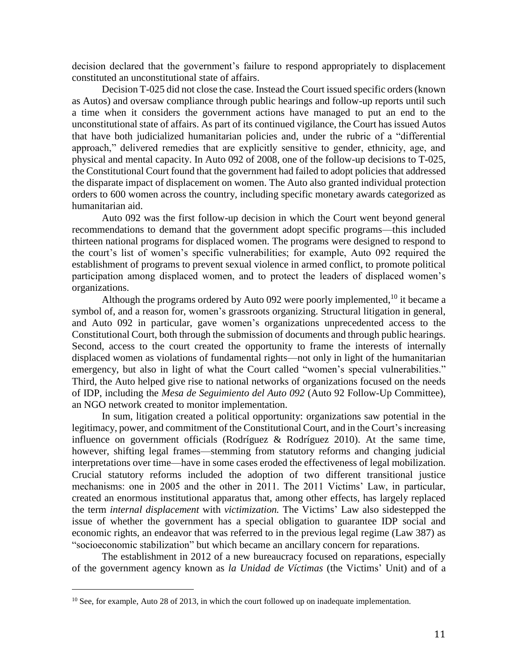decision declared that the government's failure to respond appropriately to displacement constituted an unconstitutional state of affairs.

Decision T-025 did not close the case. Instead the Court issued specific orders (known as Autos) and oversaw compliance through public hearings and follow-up reports until such a time when it considers the government actions have managed to put an end to the unconstitutional state of affairs. As part of its continued vigilance, the Court has issued Autos that have both judicialized humanitarian policies and, under the rubric of a "differential approach," delivered remedies that are explicitly sensitive to gender, ethnicity, age, and physical and mental capacity. In Auto 092 of 2008, one of the follow-up decisions to T-025, the Constitutional Court found that the government had failed to adopt policies that addressed the disparate impact of displacement on women. The Auto also granted individual protection orders to 600 women across the country, including specific monetary awards categorized as humanitarian aid.

Auto 092 was the first follow-up decision in which the Court went beyond general recommendations to demand that the government adopt specific programs—this included thirteen national programs for displaced women. The programs were designed to respond to the court's list of women's specific vulnerabilities; for example, Auto 092 required the establishment of programs to prevent sexual violence in armed conflict, to promote political participation among displaced women, and to protect the leaders of displaced women's organizations.

Although the programs ordered by Auto 092 were poorly implemented,  $10$  it became a symbol of, and a reason for, women's grassroots organizing. Structural litigation in general, and Auto 092 in particular, gave women's organizations unprecedented access to the Constitutional Court, both through the submission of documents and through public hearings. Second, access to the court created the opportunity to frame the interests of internally displaced women as violations of fundamental rights—not only in light of the humanitarian emergency, but also in light of what the Court called "women's special vulnerabilities." Third, the Auto helped give rise to national networks of organizations focused on the needs of IDP, including the *Mesa de Seguimiento del Auto 092* (Auto 92 Follow-Up Committee), an NGO network created to monitor implementation.

In sum, litigation created a political opportunity: organizations saw potential in the legitimacy, power, and commitment of the Constitutional Court, and in the Court's increasing influence on government officials (Rodríguez & Rodríguez 2010). At the same time, however, shifting legal frames—stemming from statutory reforms and changing judicial interpretations over time—have in some cases eroded the effectiveness of legal mobilization. Crucial statutory reforms included the adoption of two different transitional justice mechanisms: one in 2005 and the other in 2011. The 2011 Victims' Law, in particular, created an enormous institutional apparatus that, among other effects, has largely replaced the term *internal displacement* with *victimization.* The Victims' Law also sidestepped the issue of whether the government has a special obligation to guarantee IDP social and economic rights, an endeavor that was referred to in the previous legal regime (Law 387) as "socioeconomic stabilization" but which became an ancillary concern for reparations.

The establishment in 2012 of a new bureaucracy focused on reparations, especially of the government agency known as *la Unidad de Víctimas* (the Victims' Unit) and of a

 $10$  See, for example, Auto 28 of 2013, in which the court followed up on inadequate implementation.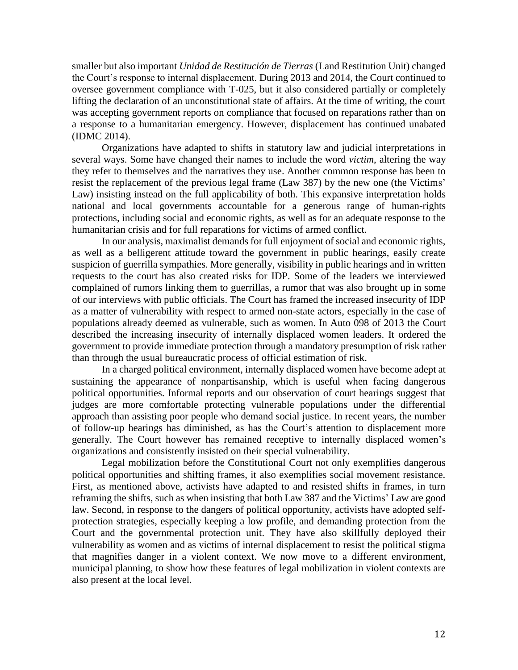smaller but also important *Unidad de Restitución de Tierras* (Land Restitution Unit) changed the Court's response to internal displacement. During 2013 and 2014, the Court continued to oversee government compliance with T-025, but it also considered partially or completely lifting the declaration of an unconstitutional state of affairs. At the time of writing, the court was accepting government reports on compliance that focused on reparations rather than on a response to a humanitarian emergency. However, displacement has continued unabated (IDMC 2014).

Organizations have adapted to shifts in statutory law and judicial interpretations in several ways. Some have changed their names to include the word *victim*, altering the way they refer to themselves and the narratives they use. Another common response has been to resist the replacement of the previous legal frame (Law 387) by the new one (the Victims' Law) insisting instead on the full applicability of both. This expansive interpretation holds national and local governments accountable for a generous range of human-rights protections, including social and economic rights, as well as for an adequate response to the humanitarian crisis and for full reparations for victims of armed conflict.

In our analysis, maximalist demands for full enjoyment of social and economic rights, as well as a belligerent attitude toward the government in public hearings, easily create suspicion of guerrilla sympathies. More generally, visibility in public hearings and in written requests to the court has also created risks for IDP. Some of the leaders we interviewed complained of rumors linking them to guerrillas, a rumor that was also brought up in some of our interviews with public officials. The Court has framed the increased insecurity of IDP as a matter of vulnerability with respect to armed non-state actors, especially in the case of populations already deemed as vulnerable, such as women. In Auto 098 of 2013 the Court described the increasing insecurity of internally displaced women leaders. It ordered the government to provide immediate protection through a mandatory presumption of risk rather than through the usual bureaucratic process of official estimation of risk.

In a charged political environment, internally displaced women have become adept at sustaining the appearance of nonpartisanship, which is useful when facing dangerous political opportunities. Informal reports and our observation of court hearings suggest that judges are more comfortable protecting vulnerable populations under the differential approach than assisting poor people who demand social justice. In recent years, the number of follow-up hearings has diminished, as has the Court's attention to displacement more generally. The Court however has remained receptive to internally displaced women's organizations and consistently insisted on their special vulnerability.

Legal mobilization before the Constitutional Court not only exemplifies dangerous political opportunities and shifting frames, it also exemplifies social movement resistance. First, as mentioned above, activists have adapted to and resisted shifts in frames, in turn reframing the shifts, such as when insisting that both Law 387 and the Victims' Law are good law. Second, in response to the dangers of political opportunity, activists have adopted selfprotection strategies, especially keeping a low profile, and demanding protection from the Court and the governmental protection unit. They have also skillfully deployed their vulnerability as women and as victims of internal displacement to resist the political stigma that magnifies danger in a violent context. We now move to a different environment, municipal planning, to show how these features of legal mobilization in violent contexts are also present at the local level.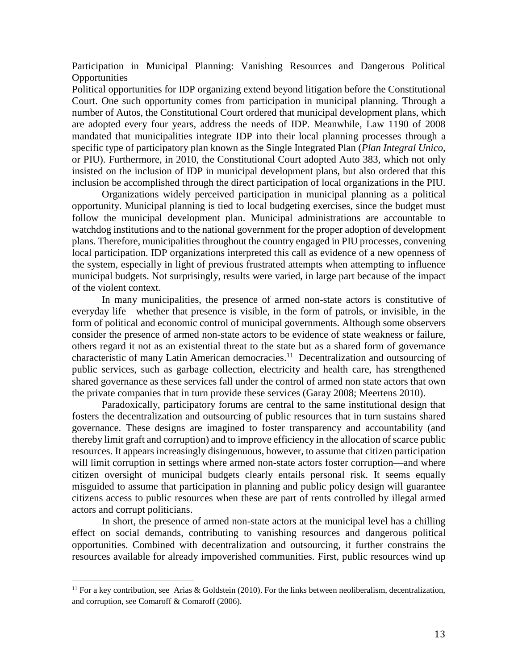Participation in Municipal Planning: Vanishing Resources and Dangerous Political **Opportunities** 

Political opportunities for IDP organizing extend beyond litigation before the Constitutional Court. One such opportunity comes from participation in municipal planning. Through a number of Autos, the Constitutional Court ordered that municipal development plans, which are adopted every four years, address the needs of IDP. Meanwhile, Law 1190 of 2008 mandated that municipalities integrate IDP into their local planning processes through a specific type of participatory plan known as the Single Integrated Plan (*Plan Integral Unico*, or PIU). Furthermore, in 2010, the Constitutional Court adopted Auto 383, which not only insisted on the inclusion of IDP in municipal development plans, but also ordered that this inclusion be accomplished through the direct participation of local organizations in the PIU.

Organizations widely perceived participation in municipal planning as a political opportunity. Municipal planning is tied to local budgeting exercises, since the budget must follow the municipal development plan. Municipal administrations are accountable to watchdog institutions and to the national government for the proper adoption of development plans. Therefore, municipalities throughout the country engaged in PIU processes, convening local participation. IDP organizations interpreted this call as evidence of a new openness of the system, especially in light of previous frustrated attempts when attempting to influence municipal budgets. Not surprisingly, results were varied, in large part because of the impact of the violent context.

In many municipalities, the presence of armed non-state actors is constitutive of everyday life—whether that presence is visible, in the form of patrols, or invisible, in the form of political and economic control of municipal governments. Although some observers consider the presence of armed non-state actors to be evidence of state weakness or failure, others regard it not as an existential threat to the state but as a shared form of governance characteristic of many Latin American democracies.<sup>11</sup> Decentralization and outsourcing of public services, such as garbage collection, electricity and health care, has strengthened shared governance as these services fall under the control of armed non state actors that own the private companies that in turn provide these services (Garay 2008; Meertens 2010).

Paradoxically, participatory forums are central to the same institutional design that fosters the decentralization and outsourcing of public resources that in turn sustains shared governance. These designs are imagined to foster transparency and accountability (and thereby limit graft and corruption) and to improve efficiency in the allocation of scarce public resources. It appears increasingly disingenuous, however, to assume that citizen participation will limit corruption in settings where armed non-state actors foster corruption—and where citizen oversight of municipal budgets clearly entails personal risk. It seems equally misguided to assume that participation in planning and public policy design will guarantee citizens access to public resources when these are part of rents controlled by illegal armed actors and corrupt politicians.

In short, the presence of armed non-state actors at the municipal level has a chilling effect on social demands, contributing to vanishing resources and dangerous political opportunities. Combined with decentralization and outsourcing, it further constrains the resources available for already impoverished communities. First, public resources wind up

<sup>&</sup>lt;sup>11</sup> For a key contribution, see Arias & Goldstein (2010). For the links between neoliberalism, decentralization, and corruption, see Comaroff & Comaroff (2006).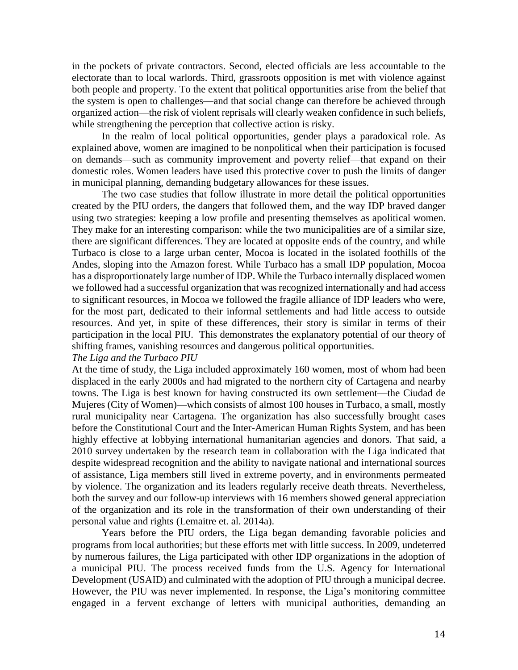in the pockets of private contractors. Second, elected officials are less accountable to the electorate than to local warlords. Third, grassroots opposition is met with violence against both people and property. To the extent that political opportunities arise from the belief that the system is open to challenges—and that social change can therefore be achieved through organized action—the risk of violent reprisals will clearly weaken confidence in such beliefs, while strengthening the perception that collective action is risky.

In the realm of local political opportunities, gender plays a paradoxical role. As explained above, women are imagined to be nonpolitical when their participation is focused on demands—such as community improvement and poverty relief—that expand on their domestic roles. Women leaders have used this protective cover to push the limits of danger in municipal planning, demanding budgetary allowances for these issues.

The two case studies that follow illustrate in more detail the political opportunities created by the PIU orders, the dangers that followed them, and the way IDP braved danger using two strategies: keeping a low profile and presenting themselves as apolitical women. They make for an interesting comparison: while the two municipalities are of a similar size, there are significant differences. They are located at opposite ends of the country, and while Turbaco is close to a large urban center, Mocoa is located in the isolated foothills of the Andes, sloping into the Amazon forest. While Turbaco has a small IDP population, Mocoa has a disproportionately large number of IDP. While the Turbaco internally displaced women we followed had a successful organization that was recognized internationally and had access to significant resources, in Mocoa we followed the fragile alliance of IDP leaders who were, for the most part, dedicated to their informal settlements and had little access to outside resources. And yet, in spite of these differences, their story is similar in terms of their participation in the local PIU. This demonstrates the explanatory potential of our theory of shifting frames, vanishing resources and dangerous political opportunities.

#### *The Liga and the Turbaco PIU*

At the time of study, the Liga included approximately 160 women, most of whom had been displaced in the early 2000s and had migrated to the northern city of Cartagena and nearby towns. The Liga is best known for having constructed its own settlement—the Ciudad de Mujeres (City of Women)—which consists of almost 100 houses in Turbaco, a small, mostly rural municipality near Cartagena. The organization has also successfully brought cases before the Constitutional Court and the Inter-American Human Rights System, and has been highly effective at lobbying international humanitarian agencies and donors. That said, a 2010 survey undertaken by the research team in collaboration with the Liga indicated that despite widespread recognition and the ability to navigate national and international sources of assistance, Liga members still lived in extreme poverty, and in environments permeated by violence. The organization and its leaders regularly receive death threats. Nevertheless, both the survey and our follow-up interviews with 16 members showed general appreciation of the organization and its role in the transformation of their own understanding of their personal value and rights (Lemaitre et. al. 2014a).

Years before the PIU orders, the Liga began demanding favorable policies and programs from local authorities; but these efforts met with little success. In 2009, undeterred by numerous failures, the Liga participated with other IDP organizations in the adoption of a municipal PIU. The process received funds from the U.S. Agency for International Development (USAID) and culminated with the adoption of PIU through a municipal decree. However, the PIU was never implemented. In response, the Liga's monitoring committee engaged in a fervent exchange of letters with municipal authorities, demanding an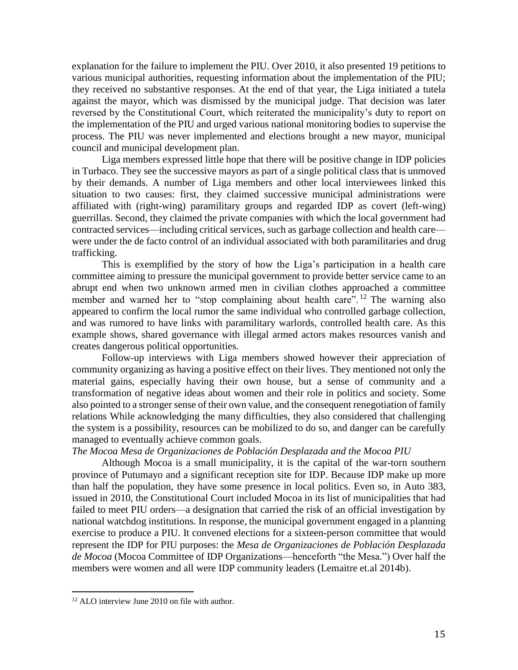explanation for the failure to implement the PIU. Over 2010, it also presented 19 petitions to various municipal authorities, requesting information about the implementation of the PIU; they received no substantive responses. At the end of that year, the Liga initiated a tutela against the mayor, which was dismissed by the municipal judge. That decision was later reversed by the Constitutional Court, which reiterated the municipality's duty to report on the implementation of the PIU and urged various national monitoring bodies to supervise the process. The PIU was never implemented and elections brought a new mayor, municipal council and municipal development plan.

Liga members expressed little hope that there will be positive change in IDP policies in Turbaco. They see the successive mayors as part of a single political class that is unmoved by their demands. A number of Liga members and other local interviewees linked this situation to two causes: first, they claimed successive municipal administrations were affiliated with (right-wing) paramilitary groups and regarded IDP as covert (left-wing) guerrillas. Second, they claimed the private companies with which the local government had contracted services—including critical services, such as garbage collection and health care were under the de facto control of an individual associated with both paramilitaries and drug trafficking.

This is exemplified by the story of how the Liga's participation in a health care committee aiming to pressure the municipal government to provide better service came to an abrupt end when two unknown armed men in civilian clothes approached a committee member and warned her to "stop complaining about health care".<sup>12</sup> The warning also appeared to confirm the local rumor the same individual who controlled garbage collection, and was rumored to have links with paramilitary warlords, controlled health care. As this example shows, shared governance with illegal armed actors makes resources vanish and creates dangerous political opportunities.

Follow-up interviews with Liga members showed however their appreciation of community organizing as having a positive effect on their lives. They mentioned not only the material gains, especially having their own house, but a sense of community and a transformation of negative ideas about women and their role in politics and society. Some also pointed to a stronger sense of their own value, and the consequent renegotiation of family relations While acknowledging the many difficulties, they also considered that challenging the system is a possibility, resources can be mobilized to do so, and danger can be carefully managed to eventually achieve common goals.

### *The Mocoa Mesa de Organizaciones de Población Desplazada and the Mocoa PIU*

Although Mocoa is a small municipality, it is the capital of the war-torn southern province of Putumayo and a significant reception site for IDP. Because IDP make up more than half the population, they have some presence in local politics. Even so, in Auto 383, issued in 2010, the Constitutional Court included Mocoa in its list of municipalities that had failed to meet PIU orders—a designation that carried the risk of an official investigation by national watchdog institutions. In response, the municipal government engaged in a planning exercise to produce a PIU. It convened elections for a sixteen-person committee that would represent the IDP for PIU purposes: the *Mesa de Organizaciones de Población Desplazada de Mocoa* (Mocoa Committee of IDP Organizations—henceforth "the Mesa.") Over half the members were women and all were IDP community leaders (Lemaitre et.al 2014b).

<sup>&</sup>lt;sup>12</sup> ALO interview June 2010 on file with author.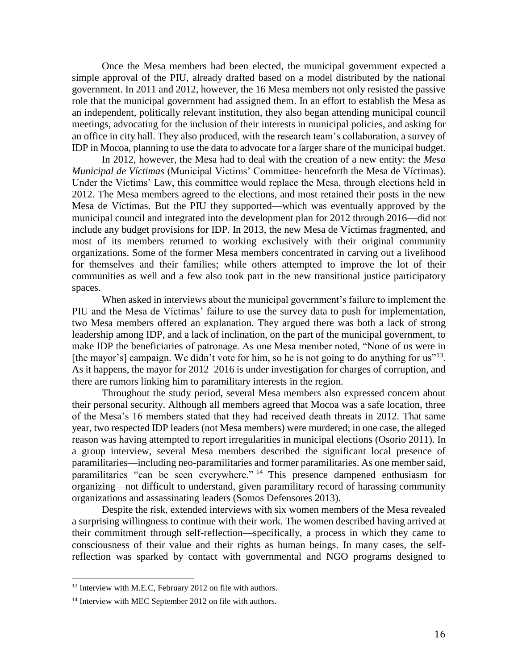Once the Mesa members had been elected, the municipal government expected a simple approval of the PIU, already drafted based on a model distributed by the national government. In 2011 and 2012, however, the 16 Mesa members not only resisted the passive role that the municipal government had assigned them. In an effort to establish the Mesa as an independent, politically relevant institution, they also began attending municipal council meetings, advocating for the inclusion of their interests in municipal policies, and asking for an office in city hall. They also produced, with the research team's collaboration, a survey of IDP in Mocoa, planning to use the data to advocate for a larger share of the municipal budget.

In 2012, however, the Mesa had to deal with the creation of a new entity: the *Mesa Municipal de Víctimas* (Municipal Victims' Committee- henceforth the Mesa de Víctimas). Under the Victims' Law, this committee would replace the Mesa, through elections held in 2012. The Mesa members agreed to the elections, and most retained their posts in the new Mesa de Víctimas. But the PIU they supported—which was eventually approved by the municipal council and integrated into the development plan for 2012 through 2016—did not include any budget provisions for IDP. In 2013, the new Mesa de Víctimas fragmented, and most of its members returned to working exclusively with their original community organizations. Some of the former Mesa members concentrated in carving out a livelihood for themselves and their families; while others attempted to improve the lot of their communities as well and a few also took part in the new transitional justice participatory spaces.

When asked in interviews about the municipal government's failure to implement the PIU and the Mesa de Víctimas' failure to use the survey data to push for implementation, two Mesa members offered an explanation. They argued there was both a lack of strong leadership among IDP, and a lack of inclination, on the part of the municipal government, to make IDP the beneficiaries of patronage. As one Mesa member noted, "None of us were in [the mayor's] campaign. We didn't vote for him, so he is not going to do anything for us"<sup>13</sup>. As it happens, the mayor for 2012–2016 is under investigation for charges of corruption, and there are rumors linking him to paramilitary interests in the region.

Throughout the study period, several Mesa members also expressed concern about their personal security. Although all members agreed that Mocoa was a safe location, three of the Mesa's 16 members stated that they had received death threats in 2012. That same year, two respected IDP leaders (not Mesa members) were murdered; in one case, the alleged reason was having attempted to report irregularities in municipal elections (Osorio 2011). In a group interview, several Mesa members described the significant local presence of paramilitaries—including neo-paramilitaries and former paramilitaries. As one member said, paramilitaries "can be seen everywhere." <sup>14</sup> This presence dampened enthusiasm for organizing—not difficult to understand, given paramilitary record of harassing community organizations and assassinating leaders (Somos Defensores 2013).

Despite the risk, extended interviews with six women members of the Mesa revealed a surprising willingness to continue with their work. The women described having arrived at their commitment through self-reflection—specifically, a process in which they came to consciousness of their value and their rights as human beings. In many cases, the selfreflection was sparked by contact with governmental and NGO programs designed to

<sup>&</sup>lt;sup>13</sup> Interview with M.E.C. February 2012 on file with authors.

<sup>&</sup>lt;sup>14</sup> Interview with MEC September 2012 on file with authors.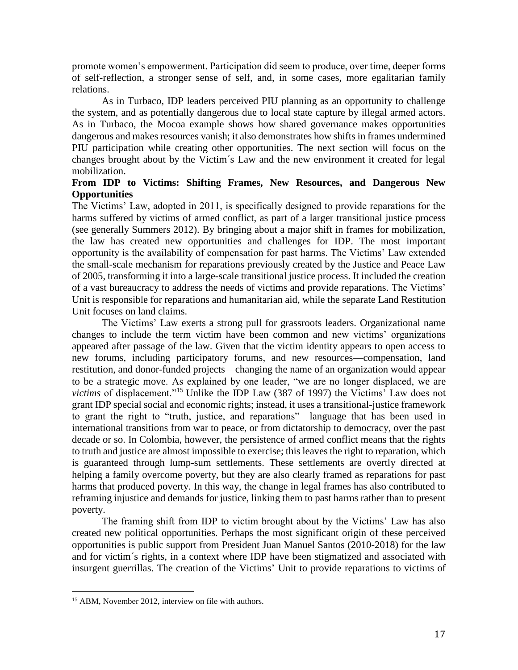promote women's empowerment. Participation did seem to produce, over time, deeper forms of self-reflection, a stronger sense of self, and, in some cases, more egalitarian family relations.

As in Turbaco, IDP leaders perceived PIU planning as an opportunity to challenge the system, and as potentially dangerous due to local state capture by illegal armed actors. As in Turbaco, the Mocoa example shows how shared governance makes opportunities dangerous and makes resources vanish; it also demonstrates how shifts in frames undermined PIU participation while creating other opportunities. The next section will focus on the changes brought about by the Victim´s Law and the new environment it created for legal mobilization.

## **From IDP to Victims: Shifting Frames, New Resources, and Dangerous New Opportunities**

The Victims' Law, adopted in 2011, is specifically designed to provide reparations for the harms suffered by victims of armed conflict, as part of a larger transitional justice process (see generally Summers 2012). By bringing about a major shift in frames for mobilization, the law has created new opportunities and challenges for IDP. The most important opportunity is the availability of compensation for past harms. The Victims' Law extended the small-scale mechanism for reparations previously created by the Justice and Peace Law of 2005, transforming it into a large-scale transitional justice process. It included the creation of a vast bureaucracy to address the needs of victims and provide reparations. The Victims' Unit is responsible for reparations and humanitarian aid, while the separate Land Restitution Unit focuses on land claims.

The Victims' Law exerts a strong pull for grassroots leaders. Organizational name changes to include the term victim have been common and new victims' organizations appeared after passage of the law. Given that the victim identity appears to open access to new forums, including participatory forums, and new resources—compensation, land restitution, and donor-funded projects—changing the name of an organization would appear to be a strategic move. As explained by one leader, "we are no longer displaced, we are *victims* of displacement."<sup>15</sup> Unlike the IDP Law (387 of 1997) the Victims' Law does not grant IDP special social and economic rights; instead, it uses a transitional-justice framework to grant the right to "truth, justice, and reparations"—language that has been used in international transitions from war to peace, or from dictatorship to democracy, over the past decade or so. In Colombia, however, the persistence of armed conflict means that the rights to truth and justice are almost impossible to exercise; this leaves the right to reparation, which is guaranteed through lump-sum settlements. These settlements are overtly directed at helping a family overcome poverty, but they are also clearly framed as reparations for past harms that produced poverty. In this way, the change in legal frames has also contributed to reframing injustice and demands for justice, linking them to past harms rather than to present poverty.

The framing shift from IDP to victim brought about by the Victims' Law has also created new political opportunities. Perhaps the most significant origin of these perceived opportunities is public support from President Juan Manuel Santos (2010-2018) for the law and for victim´s rights, in a context where IDP have been stigmatized and associated with insurgent guerrillas. The creation of the Victims' Unit to provide reparations to victims of

<sup>&</sup>lt;sup>15</sup> ABM, November 2012, interview on file with authors.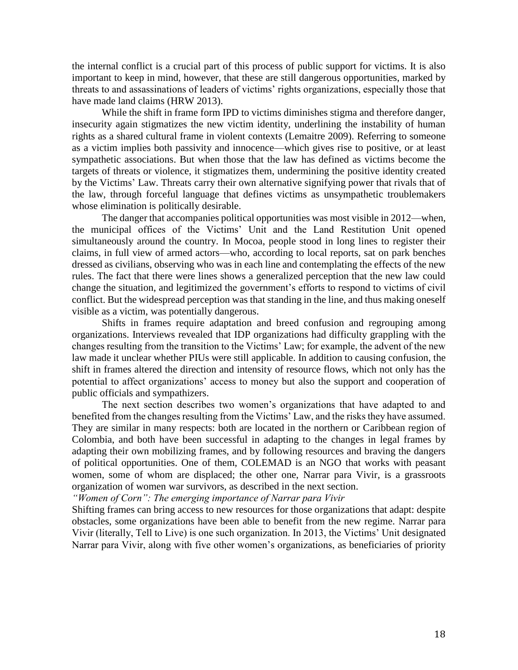the internal conflict is a crucial part of this process of public support for victims. It is also important to keep in mind, however, that these are still dangerous opportunities, marked by threats to and assassinations of leaders of victims' rights organizations, especially those that have made land claims (HRW 2013).

While the shift in frame form IPD to victims diminishes stigma and therefore danger, insecurity again stigmatizes the new victim identity, underlining the instability of human rights as a shared cultural frame in violent contexts (Lemaitre 2009). Referring to someone as a victim implies both passivity and innocence—which gives rise to positive, or at least sympathetic associations. But when those that the law has defined as victims become the targets of threats or violence, it stigmatizes them, undermining the positive identity created by the Victims' Law. Threats carry their own alternative signifying power that rivals that of the law, through forceful language that defines victims as unsympathetic troublemakers whose elimination is politically desirable.

The danger that accompanies political opportunities was most visible in 2012—when, the municipal offices of the Victims' Unit and the Land Restitution Unit opened simultaneously around the country. In Mocoa, people stood in long lines to register their claims, in full view of armed actors—who, according to local reports, sat on park benches dressed as civilians, observing who was in each line and contemplating the effects of the new rules. The fact that there were lines shows a generalized perception that the new law could change the situation, and legitimized the government's efforts to respond to victims of civil conflict. But the widespread perception was that standing in the line, and thus making oneself visible as a victim, was potentially dangerous.

Shifts in frames require adaptation and breed confusion and regrouping among organizations. Interviews revealed that IDP organizations had difficulty grappling with the changes resulting from the transition to the Victims' Law; for example, the advent of the new law made it unclear whether PIUs were still applicable. In addition to causing confusion, the shift in frames altered the direction and intensity of resource flows, which not only has the potential to affect organizations' access to money but also the support and cooperation of public officials and sympathizers.

The next section describes two women's organizations that have adapted to and benefited from the changes resulting from the Victims' Law, and the risks they have assumed. They are similar in many respects: both are located in the northern or Caribbean region of Colombia, and both have been successful in adapting to the changes in legal frames by adapting their own mobilizing frames, and by following resources and braving the dangers of political opportunities. One of them, COLEMAD is an NGO that works with peasant women, some of whom are displaced; the other one, Narrar para Vivir, is a grassroots organization of women war survivors, as described in the next section.

*"Women of Corn": The emerging importance of Narrar para Vivir* 

Shifting frames can bring access to new resources for those organizations that adapt: despite obstacles, some organizations have been able to benefit from the new regime. Narrar para Vivir (literally, Tell to Live) is one such organization. In 2013, the Victims' Unit designated Narrar para Vivir, along with five other women's organizations, as beneficiaries of priority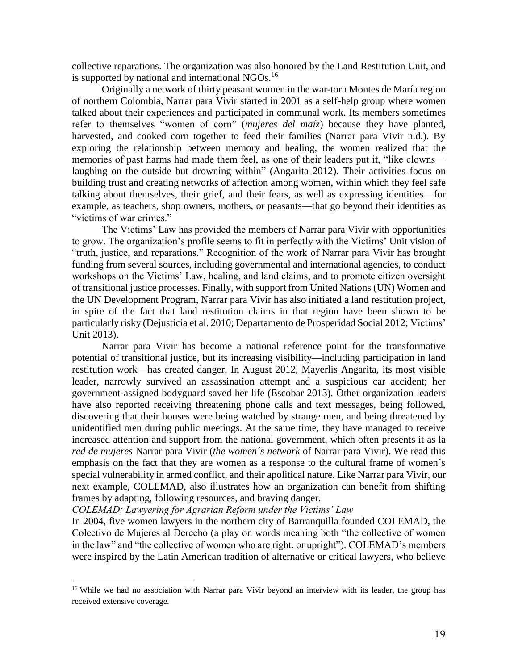collective reparations. The organization was also honored by the Land Restitution Unit, and is supported by national and international NGOs.<sup>16</sup>

Originally a network of thirty peasant women in the war-torn Montes de María region of northern Colombia, Narrar para Vivir started in 2001 as a self-help group where women talked about their experiences and participated in communal work. Its members sometimes refer to themselves "women of corn" (*mujeres del maíz*) because they have planted, harvested, and cooked corn together to feed their families (Narrar para Vivir n.d.). By exploring the relationship between memory and healing, the women realized that the memories of past harms had made them feel, as one of their leaders put it, "like clowns laughing on the outside but drowning within" (Angarita 2012). Their activities focus on building trust and creating networks of affection among women, within which they feel safe talking about themselves, their grief, and their fears, as well as expressing identities—for example, as teachers, shop owners, mothers, or peasants—that go beyond their identities as "victims of war crimes."

The Victims' Law has provided the members of Narrar para Vivir with opportunities to grow. The organization's profile seems to fit in perfectly with the Victims' Unit vision of "truth, justice, and reparations." Recognition of the work of Narrar para Vivir has brought funding from several sources, including governmental and international agencies, to conduct workshops on the Victims' Law, healing, and land claims, and to promote citizen oversight of transitional justice processes. Finally, with support from United Nations (UN) Women and the UN Development Program, Narrar para Vivir has also initiated a land restitution project, in spite of the fact that land restitution claims in that region have been shown to be particularly risky (Dejusticia et al. 2010; Departamento de Prosperidad Social 2012; Victims' Unit 2013).

Narrar para Vivir has become a national reference point for the transformative potential of transitional justice, but its increasing visibility—including participation in land restitution work—has created danger. In August 2012, Mayerlis Angarita, its most visible leader, narrowly survived an assassination attempt and a suspicious car accident; her government-assigned bodyguard saved her life (Escobar 2013). Other organization leaders have also reported receiving threatening phone calls and text messages, being followed, discovering that their houses were being watched by strange men, and being threatened by unidentified men during public meetings. At the same time, they have managed to receive increased attention and support from the national government, which often presents it as la *red de mujeres* Narrar para Vivir (*the women´s network* of Narrar para Vivir). We read this emphasis on the fact that they are women as a response to the cultural frame of women´s special vulnerability in armed conflict, and their apolitical nature. Like Narrar para Vivir, our next example, COLEMAD, also illustrates how an organization can benefit from shifting frames by adapting, following resources, and braving danger.

*COLEMAD: Lawyering for Agrarian Reform under the Victims' Law*

 $\overline{\phantom{a}}$ 

In 2004, five women lawyers in the northern city of Barranquilla founded COLEMAD, the Colectivo de Mujeres al Derecho (a play on words meaning both "the collective of women in the law" and "the collective of women who are right, or upright"). COLEMAD's members were inspired by the Latin American tradition of alternative or critical lawyers, who believe

<sup>&</sup>lt;sup>16</sup> While we had no association with Narrar para Vivir beyond an interview with its leader, the group has received extensive coverage.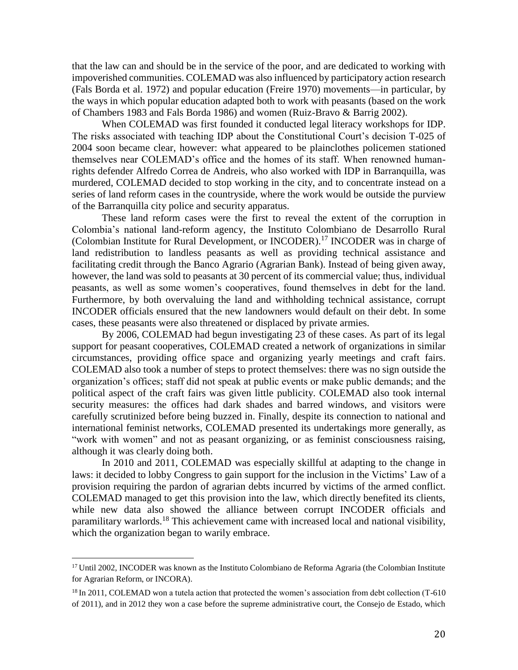that the law can and should be in the service of the poor, and are dedicated to working with impoverished communities. COLEMAD was also influenced by participatory action research (Fals Borda et al. 1972) and popular education (Freire 1970) movements—in particular, by the ways in which popular education adapted both to work with peasants (based on the work of Chambers 1983 and Fals Borda 1986) and women (Ruiz-Bravo & Barrig 2002).

When COLEMAD was first founded it conducted legal literacy workshops for IDP. The risks associated with teaching IDP about the Constitutional Court's decision T-025 of 2004 soon became clear, however: what appeared to be plainclothes policemen stationed themselves near COLEMAD's office and the homes of its staff. When renowned humanrights defender Alfredo Correa de Andreis, who also worked with IDP in Barranquilla, was murdered, COLEMAD decided to stop working in the city, and to concentrate instead on a series of land reform cases in the countryside, where the work would be outside the purview of the Barranquilla city police and security apparatus.

These land reform cases were the first to reveal the extent of the corruption in Colombia's national land-reform agency, the Instituto Colombiano de Desarrollo Rural (Colombian Institute for Rural Development, or INCODER).<sup>17</sup> INCODER was in charge of land redistribution to landless peasants as well as providing technical assistance and facilitating credit through the Banco Agrario (Agrarian Bank). Instead of being given away, however, the land was sold to peasants at 30 percent of its commercial value; thus, individual peasants, as well as some women's cooperatives, found themselves in debt for the land. Furthermore, by both overvaluing the land and withholding technical assistance, corrupt INCODER officials ensured that the new landowners would default on their debt. In some cases, these peasants were also threatened or displaced by private armies.

By 2006, COLEMAD had begun investigating 23 of these cases. As part of its legal support for peasant cooperatives, COLEMAD created a network of organizations in similar circumstances, providing office space and organizing yearly meetings and craft fairs. COLEMAD also took a number of steps to protect themselves: there was no sign outside the organization's offices; staff did not speak at public events or make public demands; and the political aspect of the craft fairs was given little publicity. COLEMAD also took internal security measures: the offices had dark shades and barred windows, and visitors were carefully scrutinized before being buzzed in. Finally, despite its connection to national and international feminist networks, COLEMAD presented its undertakings more generally, as "work with women" and not as peasant organizing, or as feminist consciousness raising, although it was clearly doing both.

In 2010 and 2011, COLEMAD was especially skillful at adapting to the change in laws: it decided to lobby Congress to gain support for the inclusion in the Victims' Law of a provision requiring the pardon of agrarian debts incurred by victims of the armed conflict. COLEMAD managed to get this provision into the law, which directly benefited its clients, while new data also showed the alliance between corrupt INCODER officials and paramilitary warlords.<sup>18</sup> This achievement came with increased local and national visibility, which the organization began to warily embrace.

 $\overline{a}$ 

<sup>&</sup>lt;sup>17</sup> Until 2002, INCODER was known as the Instituto Colombiano de Reforma Agraria (the Colombian Institute for Agrarian Reform, or INCORA).

<sup>&</sup>lt;sup>18</sup> In 2011, COLEMAD won a tutela action that protected the women's association from debt collection (T-610) of 2011), and in 2012 they won a case before the supreme administrative court, the Consejo de Estado, which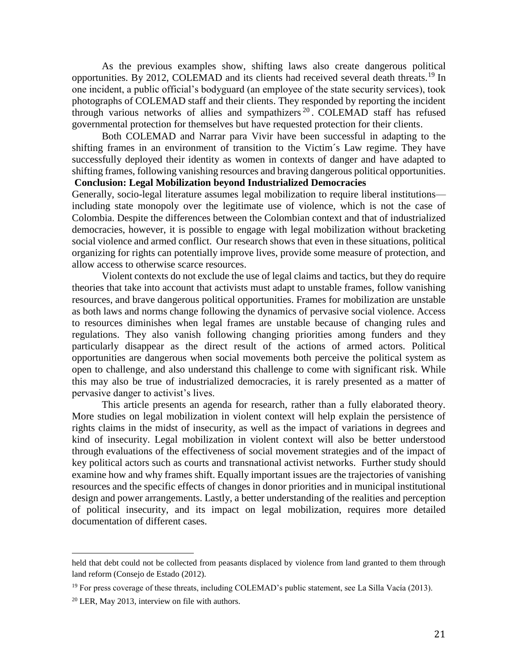As the previous examples show, shifting laws also create dangerous political opportunities. By 2012, COLEMAD and its clients had received several death threats.<sup>19</sup> In one incident, a public official's bodyguard (an employee of the state security services), took photographs of COLEMAD staff and their clients. They responded by reporting the incident through various networks of allies and sympathizers<sup>20</sup>. COLEMAD staff has refused governmental protection for themselves but have requested protection for their clients.

Both COLEMAD and Narrar para Vivir have been successful in adapting to the shifting frames in an environment of transition to the Victim´s Law regime. They have successfully deployed their identity as women in contexts of danger and have adapted to shifting frames, following vanishing resources and braving dangerous political opportunities. **Conclusion: Legal Mobilization beyond Industrialized Democracies**

Generally, socio-legal literature assumes legal mobilization to require liberal institutions including state monopoly over the legitimate use of violence, which is not the case of Colombia. Despite the differences between the Colombian context and that of industrialized democracies, however, it is possible to engage with legal mobilization without bracketing social violence and armed conflict. Our research shows that even in these situations, political organizing for rights can potentially improve lives, provide some measure of protection, and allow access to otherwise scarce resources.

Violent contexts do not exclude the use of legal claims and tactics, but they do require theories that take into account that activists must adapt to unstable frames, follow vanishing resources, and brave dangerous political opportunities. Frames for mobilization are unstable as both laws and norms change following the dynamics of pervasive social violence. Access to resources diminishes when legal frames are unstable because of changing rules and regulations. They also vanish following changing priorities among funders and they particularly disappear as the direct result of the actions of armed actors. Political opportunities are dangerous when social movements both perceive the political system as open to challenge, and also understand this challenge to come with significant risk. While this may also be true of industrialized democracies, it is rarely presented as a matter of pervasive danger to activist's lives.

This article presents an agenda for research, rather than a fully elaborated theory. More studies on legal mobilization in violent context will help explain the persistence of rights claims in the midst of insecurity, as well as the impact of variations in degrees and kind of insecurity. Legal mobilization in violent context will also be better understood through evaluations of the effectiveness of social movement strategies and of the impact of key political actors such as courts and transnational activist networks. Further study should examine how and why frames shift. Equally important issues are the trajectories of vanishing resources and the specific effects of changes in donor priorities and in municipal institutional design and power arrangements. Lastly, a better understanding of the realities and perception of political insecurity, and its impact on legal mobilization, requires more detailed documentation of different cases.

 $\overline{a}$ 

held that debt could not be collected from peasants displaced by violence from land granted to them through land reform (Consejo de Estado (2012).

<sup>&</sup>lt;sup>19</sup> For press coverage of these threats, including COLEMAD's public statement, see La Silla Vacía (2013).

<sup>20</sup> LER, May 2013, interview on file with authors.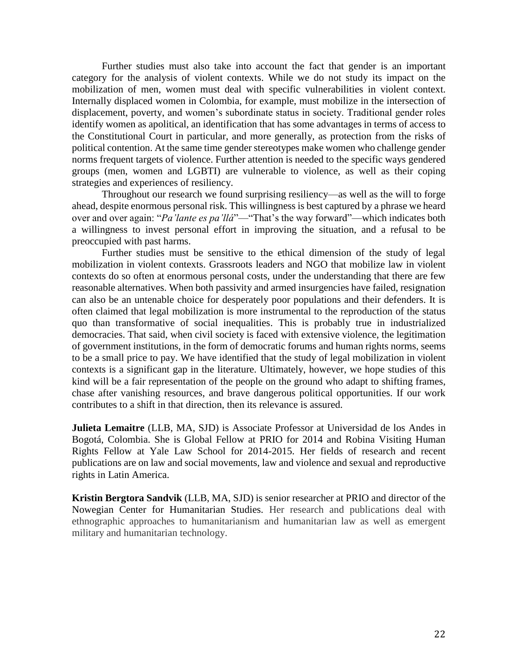Further studies must also take into account the fact that gender is an important category for the analysis of violent contexts. While we do not study its impact on the mobilization of men, women must deal with specific vulnerabilities in violent context. Internally displaced women in Colombia, for example, must mobilize in the intersection of displacement, poverty, and women's subordinate status in society. Traditional gender roles identify women as apolitical, an identification that has some advantages in terms of access to the Constitutional Court in particular, and more generally, as protection from the risks of political contention. At the same time gender stereotypes make women who challenge gender norms frequent targets of violence. Further attention is needed to the specific ways gendered groups (men, women and LGBTI) are vulnerable to violence, as well as their coping strategies and experiences of resiliency.

Throughout our research we found surprising resiliency—as well as the will to forge ahead, despite enormous personal risk. This willingness is best captured by a phrase we heard over and over again: "*Pa'lante es pa'llá*"—"That's the way forward"—which indicates both a willingness to invest personal effort in improving the situation, and a refusal to be preoccupied with past harms.

Further studies must be sensitive to the ethical dimension of the study of legal mobilization in violent contexts. Grassroots leaders and NGO that mobilize law in violent contexts do so often at enormous personal costs, under the understanding that there are few reasonable alternatives. When both passivity and armed insurgencies have failed, resignation can also be an untenable choice for desperately poor populations and their defenders. It is often claimed that legal mobilization is more instrumental to the reproduction of the status quo than transformative of social inequalities. This is probably true in industrialized democracies. That said, when civil society is faced with extensive violence, the legitimation of government institutions, in the form of democratic forums and human rights norms, seems to be a small price to pay. We have identified that the study of legal mobilization in violent contexts is a significant gap in the literature. Ultimately, however, we hope studies of this kind will be a fair representation of the people on the ground who adapt to shifting frames, chase after vanishing resources, and brave dangerous political opportunities. If our work contributes to a shift in that direction, then its relevance is assured.

**Julieta Lemaitre** (LLB, MA, SJD) is Associate Professor at Universidad de los Andes in Bogotá, Colombia. She is Global Fellow at PRIO for 2014 and Robina Visiting Human Rights Fellow at Yale Law School for 2014-2015. Her fields of research and recent publications are on law and social movements, law and violence and sexual and reproductive rights in Latin America.

**Kristin Bergtora Sandvik** (LLB, MA, SJD) is senior researcher at PRIO and director of the Nowegian Center for Humanitarian Studies. Her research and publications deal with ethnographic approaches to humanitarianism and humanitarian law as well as emergent military and humanitarian technology.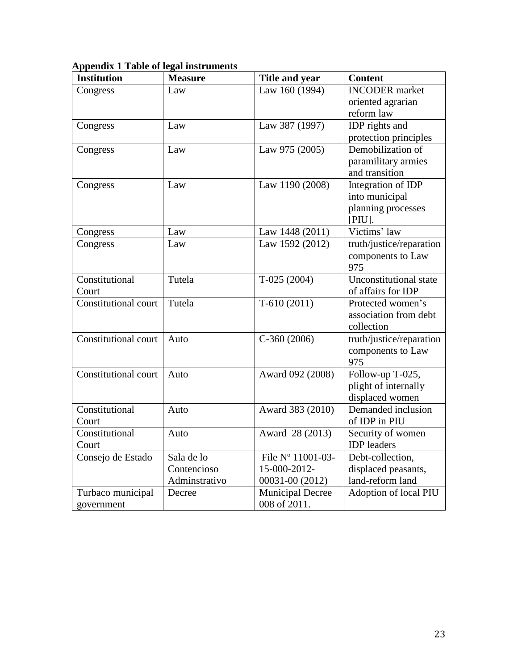|  |  |  | <b>Appendix 1 Table of legal instruments</b> |
|--|--|--|----------------------------------------------|
|  |  |  |                                              |

| <b>Institution</b>          | <b>Measure</b> | Title and year          | <b>Content</b>           |
|-----------------------------|----------------|-------------------------|--------------------------|
| Congress                    | Law            | Law 160 (1994)          | <b>INCODER</b> market    |
|                             |                |                         | oriented agrarian        |
|                             |                |                         | reform law               |
| Congress                    | Law            | Law 387 (1997)          | IDP rights and           |
|                             |                |                         | protection principles    |
| Congress                    | Law            | Law 975 (2005)          | Demobilization of        |
|                             |                |                         | paramilitary armies      |
|                             |                |                         | and transition           |
| Congress                    | Law            | Law 1190 (2008)         | Integration of IDP       |
|                             |                |                         | into municipal           |
|                             |                |                         | planning processes       |
|                             |                |                         | [PIU].                   |
| Congress                    | Law            | Law 1448 (2011)         | Victims' law             |
| Congress                    | Law            | Law 1592 (2012)         | truth/justice/reparation |
|                             |                |                         | components to Law        |
|                             |                |                         | 975                      |
| Constitutional              | Tutela         | $T-025(2004)$           | Unconstitutional state   |
| Court                       |                |                         | of affairs for IDP       |
| Constitutional court        | Tutela         | $T-610(2011)$           | Protected women's        |
|                             |                |                         | association from debt    |
|                             |                |                         | collection               |
| Constitutional court        | Auto           | $C-360(2006)$           | truth/justice/reparation |
|                             |                |                         | components to Law        |
|                             |                |                         | 975                      |
| <b>Constitutional court</b> | Auto           | Award 092 (2008)        | Follow-up T-025,         |
|                             |                |                         | plight of internally     |
|                             |                |                         | displaced women          |
| Constitutional              | Auto           | Award 383 (2010)        | Demanded inclusion       |
| Court                       |                |                         | of IDP in PIU            |
| Constitutional              | Auto           | Award 28 (2013)         | Security of women        |
| Court                       |                |                         | <b>IDP</b> leaders       |
| Consejo de Estado           | Sala de lo     | File Nº 11001-03-       | Debt-collection,         |
|                             | Contencioso    | 15-000-2012-            | displaced peasants,      |
|                             | Adminstrativo  | 00031-00 (2012)         | land-reform land         |
| Turbaco municipal           | Decree         | <b>Municipal Decree</b> | Adoption of local PIU    |
| government                  |                | 008 of 2011.            |                          |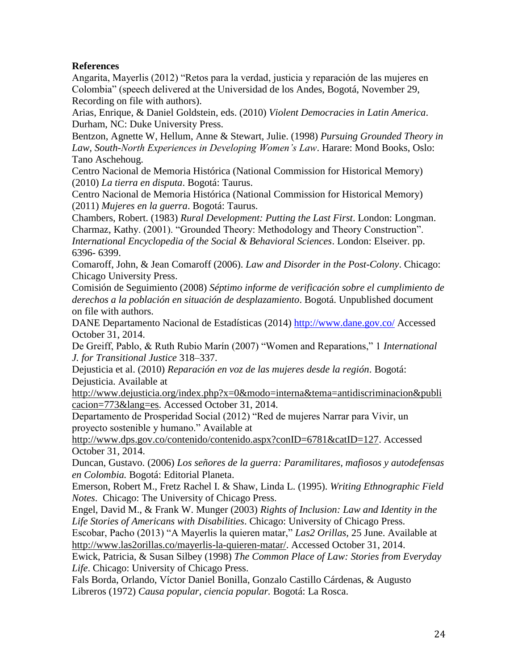# **References**

Angarita, Mayerlis (2012) "Retos para la verdad, justicia y reparación de las mujeres en Colombia" (speech delivered at the Universidad de los Andes, Bogotá, November 29, Recording on file with authors).

Arias, Enrique, & Daniel Goldstein, eds. (2010) *Violent Democracies in Latin America*. Durham, NC: Duke University Press.

Bentzon, Agnette W, Hellum, Anne & Stewart, Julie. (1998) *Pursuing Grounded Theory in Law, South-North Experiences in Developing Women's Law*. Harare: Mond Books, Oslo: Tano Aschehoug.

Centro Nacional de Memoria Histórica (National Commission for Historical Memory) (2010) *La tierra en disputa*. Bogotá: Taurus.

Centro Nacional de Memoria Histórica (National Commission for Historical Memory) (2011) *Mujeres en la guerra*. Bogotá: Taurus.

Chambers, Robert. (1983) *Rural Development: Putting the Last First*. London: Longman. Charmaz, Kathy. (2001). "Grounded Theory: Methodology and Theory Construction". *International Encyclopedia of the Social & Behavioral Sciences*. London: Elseiver. pp. 6396- 6399.

Comaroff, John, & Jean Comaroff (2006). *Law and Disorder in the Post-Colony*. Chicago: Chicago University Press.

Comisión de Seguimiento (2008) *Séptimo informe de verificación sobre el cumplimiento de derechos a la población en situación de desplazamiento*. Bogotá. Unpublished document on file with authors.

DANE Departamento Nacional de Estadísticas (2014)<http://www.dane.gov.co/> Accessed October 31, 2014.

De Greiff, Pablo, & Ruth Rubio Marín (2007) "Women and Reparations," 1 *International J. for Transitional Justice* 318–337.

Dejusticia et al. (2010) *Reparación en voz de las mujeres desde la región*. Bogotá: Dejusticia. Available at

[http://www.dejusticia.org/index.php?x=0&modo=interna&tema=antidiscriminacion&publi](http://www.dejusticia.org/index.php?x=0&modo=interna&tema=antidiscriminacion&publicacion=773&lang=es) [cacion=773&lang=es.](http://www.dejusticia.org/index.php?x=0&modo=interna&tema=antidiscriminacion&publicacion=773&lang=es) Accessed October 31, 2014.

Departamento de Prosperidad Social (2012) "Red de mujeres Narrar para Vivir, un proyecto sostenible y humano." Available at

[http://www.dps.gov.co/contenido/contenido.aspx?conID=6781&catID=127.](http://www.dps.gov.co/contenido/contenido.aspx?conID=6781&catID=127) Accessed October 31, 2014.

Duncan, Gustavo. (2006) *Los señores de la guerra: Paramilitares, mafiosos y autodefensas en Colombia.* Bogotá: Editorial Planeta.

Emerson, Robert M., Fretz Rachel I. & Shaw, Linda L. (1995). *Writing Ethnographic Field Notes*. Chicago: The University of Chicago Press.

Engel, David M., & Frank W. Munger (2003) *Rights of Inclusion: Law and Identity in the Life Stories of Americans with Disabilities*. Chicago: University of Chicago Press.

Escobar, Pacho (2013) "A Mayerlis la quieren matar," *Las2 Orillas,* 25 June. Available at [http://www.las2orillas.co/mayerlis-la-quieren-matar/.](http://www.las2orillas.co/mayerlis-la-quieren-matar/) Accessed October 31, 2014.

Ewick, Patricia, & Susan Silbey (1998) *The Common Place of Law: Stories from Everyday Life*. Chicago: University of Chicago Press.

Fals Borda, Orlando, Víctor Daniel Bonilla, Gonzalo Castillo Cárdenas, & Augusto Libreros (1972) *Causa popular, ciencia popular.* Bogotá: La Rosca.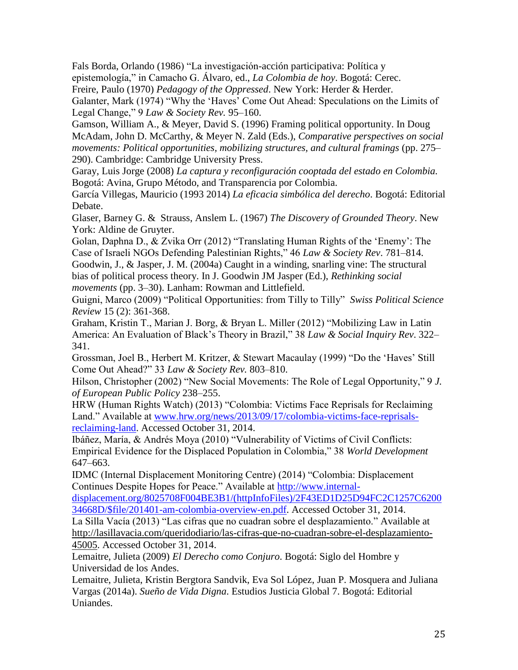Fals Borda, Orlando (1986) "La investigación-acción participativa: Política y epistemología," in Camacho G. [Álvaro,](http://en.wikipedia.org/w/index.php?title=%C3%81lvaro_Camacho_G.&action=edit&redlink=1) ed., *La Colombia de hoy*. Bogotá: Cerec.

Freire, Paulo (1970) *Pedagogy of the Oppressed*. New York: Herder & Herder.

Galanter, Mark (1974) "Why the 'Haves' Come Out Ahead: Speculations on the Limits of Legal Change," 9 *Law & Society Rev.* 95–160.

Gamson, William A., & Meyer, David S. (1996) Framing political opportunity. In Doug McAdam, John D. McCarthy, & Meyer N. Zald (Eds.), *Comparative perspectives on social movements: Political opportunities, mobilizing structures, and cultural framings* (pp. 275– 290). Cambridge: Cambridge University Press.

Garay, Luis Jorge (2008) *La captura y reconfiguración cooptada del estado en Colombia.*  Bogotá: Avina, Grupo Método, and Transparencia por Colombia.

García Villegas, Mauricio (1993 2014) *La eficacia simbólica del derecho*. Bogotá: Editorial Debate.

Glaser, Barney G. & Strauss, Anslem L. (1967) *The Discovery of Grounded Theory*. New York: Aldine de Gruyter.

Golan, Daphna D., & Zvika Orr (2012) "Translating Human Rights of the 'Enemy': The Case of Israeli NGOs Defending Palestinian Rights," 46 *Law & Society Rev*. 781–814. Goodwin, J., & Jasper, J. M. (2004a) Caught in a winding, snarling vine: The structural

bias of political process theory. In J. Goodwin JM Jasper (Ed.), *Rethinking social movements* (pp. 3–30). Lanham: Rowman and Littlefield.

Guigni, Marco (2009) "Political Opportunities: from Tilly to Tilly" *Swiss Political Science Review* 15 (2): 361-368.

Graham, Kristin T., Marian J. Borg, & Bryan L. Miller (2012) "Mobilizing Law in Latin America: An Evaluation of Black's Theory in Brazil," 38 *Law & Social Inquiry Rev*. 322– 341.

Grossman, Joel B., Herbert M. Kritzer, & Stewart Macaulay (1999) "Do the 'Haves' Still Come Out Ahead?" 33 *Law & Society Rev.* 803–810.

Hilson, Christopher (2002) "New Social Movements: The Role of Legal Opportunity," 9 *J. of European Public Policy* 238–255.

HRW (Human Rights Watch) (2013) "Colombia: Victims Face Reprisals for Reclaiming Land." Available at [www.hrw.org/news/2013/09/17/colombia-victims-face-reprisals](http://www.hrw.org/news/2013/09/17/colombia-victims-face-reprisals-reclaiming-land)[reclaiming-land.](http://www.hrw.org/news/2013/09/17/colombia-victims-face-reprisals-reclaiming-land) Accessed October 31, 2014.

Ibáñez, María, & Andrés Moya (2010) "Vulnerability of Victims of Civil Conflicts: Empirical Evidence for the Displaced Population in Colombia," 38 *World Development* 647–663.

IDMC (Internal Displacement Monitoring Centre) (2014) "Colombia: Displacement Continues Despite Hopes for Peace." Available at [http://www.internal-](http://www.internal-displacement.org/8025708F004BE3B1/(httpInfoFiles)/2F43ED1D25D94FC2C1257C620034668D/$file/201401-am-colombia-overview-en.pdf)

[displacement.org/8025708F004BE3B1/\(httpInfoFiles\)/2F43ED1D25D94FC2C1257C6200](http://www.internal-displacement.org/8025708F004BE3B1/(httpInfoFiles)/2F43ED1D25D94FC2C1257C620034668D/$file/201401-am-colombia-overview-en.pdf) [34668D/\\$file/201401-am-colombia-overview-en.pdf.](http://www.internal-displacement.org/8025708F004BE3B1/(httpInfoFiles)/2F43ED1D25D94FC2C1257C620034668D/$file/201401-am-colombia-overview-en.pdf) Accessed October 31, 2014.

La Silla Vacía (2013) "Las cifras que no cuadran sobre el desplazamiento." Available at [http://lasillavacia.com/queridodiario/las-cifras-que-no-cuadran-sobre-el-desplazamiento-](http://lasillavacia.com/queridodiario/las-cifras-que-no-cuadran-sobre-el-desplazamiento-45005)[45005.](http://lasillavacia.com/queridodiario/las-cifras-que-no-cuadran-sobre-el-desplazamiento-45005) Accessed October 31, 2014.

Lemaitre, Julieta (2009) *El Derecho como Conjuro*. Bogotá: Siglo del Hombre y Universidad de los Andes.

Lemaitre, Julieta, Kristin Bergtora Sandvik, Eva Sol López, Juan P. Mosquera and Juliana Vargas (2014a). *Sueño de Vida Digna*. Estudios Justicia Global 7. Bogotá: Editorial Uniandes.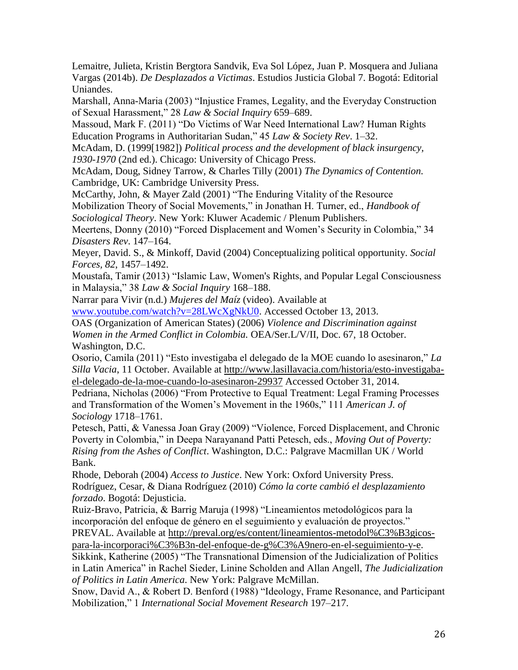Lemaitre, Julieta, Kristin Bergtora Sandvik, Eva Sol López, Juan P. Mosquera and Juliana Vargas (2014b). *De Desplazados a Victimas*. Estudios Justicia Global 7. Bogotá: Editorial Uniandes.

Marshall, Anna-Maria (2003) "Injustice Frames, Legality, and the Everyday Construction of Sexual Harassment," 28 *Law & Social Inquiry* 659–689.

Massoud, Mark F. (2011) "Do Victims of War Need International Law? Human Rights Education Programs in Authoritarian Sudan," 45 *Law & Society Rev*. 1–32.

McAdam, D. (1999[1982]) *Political process and the development of black insurgency, 1930-1970* (2nd ed.). Chicago: University of Chicago Press.

McAdam, Doug, Sidney Tarrow, & Charles Tilly (2001) *The Dynamics of Contention.* Cambridge, UK: Cambridge University Press.

McCarthy, John, & Mayer Zald (2001) "The Enduring Vitality of the Resource Mobilization Theory of Social Movements," in Jonathan H. Turner, ed., *Handbook of Sociological Theory*. New York: Kluwer Academic / Plenum Publishers.

Meertens, Donny (2010) "Forced Displacement and Women's Security in Colombia," 34 *Disasters Rev*. 147–164.

Meyer, David. S., & Minkoff, David (2004) Conceptualizing political opportunity. *Social Forces, 82*, 1457–1492.

Moustafa, Tamir (2013) "Islamic Law, Women's Rights, and Popular Legal Consciousness in Malaysia," 38 *Law & Social Inquiry* 168–188.

Narrar para Vivir (n.d.) *Mujeres del Maíz* (video). Available at

[www.youtube.com/watch?v=28LWcXgNkU0.](http://www.youtube.com/watch?v=28LWcXgNkU0) Accessed October 13, 2013.

OAS (Organization of American States) (2006) *Violence and Discrimination against Women in the Armed Conflict in Colombia.* OEA/Ser.L/V/II, Doc. 67, 18 October. Washington, D.C.

Osorio, Camila (2011) "Esto investigaba el delegado de la MOE cuando lo asesinaron," *La Silla Vacia*, 11 October. Available at [http://www.lasillavacia.com/historia/esto-investigaba](http://www.lasillavacia.com/historia/esto-investigaba-el-delegado-de-la-moe-cuando-lo-asesinaron-29937)[el-delegado-de-la-moe-cuando-lo-asesinaron-29937](http://www.lasillavacia.com/historia/esto-investigaba-el-delegado-de-la-moe-cuando-lo-asesinaron-29937) Accessed October 31, 2014.

Pedriana, Nicholas (2006) "From Protective to Equal Treatment: Legal Framing Processes and Transformation of the Women's Movement in the 1960s," 111 *American J. of Sociology* 1718–1761.

Petesch, Patti, & Vanessa Joan Gray (2009) "Violence, Forced Displacement, and Chronic Poverty in Colombia," in Deepa Narayanand Patti Petesch, eds., *Moving Out of Poverty: Rising from the Ashes of Conflict*. Washington, D.C.: Palgrave Macmillan UK / World Bank.

Rhode, Deborah (2004) *Access to Justice*. New York: Oxford University Press. Rodríguez, Cesar, & Diana Rodríguez (2010) *Cómo la corte cambió el desplazamiento forzado*. Bogotá: Dejusticia.

Ruiz-Bravo, Patricia, & Barrig Maruja (1998) "Lineamientos metodológicos para la incorporación del enfoque de género en el seguimiento y evaluación de proyectos." PREVAL. Available at [http://preval.org/es/content/lineamientos-metodol%C3%B3gicos-](http://preval.org/es/content/lineamientos-metodol%C3%B3gicos-para-la-incorporaci%C3%B3n-del-enfoque-de-g%C3%A9nero-en-el-seguimiento-y-e)

[para-la-incorporaci%C3%B3n-del-enfoque-de-g%C3%A9nero-en-el-seguimiento-y-e.](http://preval.org/es/content/lineamientos-metodol%C3%B3gicos-para-la-incorporaci%C3%B3n-del-enfoque-de-g%C3%A9nero-en-el-seguimiento-y-e)

Sikkink, Katherine (2005) "The Transnational Dimension of the Judicialization of Politics in Latin America" in Rachel Sieder, Linine Scholden and Allan Angell, *The Judicialization of Politics in Latin America*. New York: Palgrave McMillan.

Snow, David A., & Robert D. Benford (1988) "Ideology, Frame Resonance, and Participant Mobilization," 1 *International Social Movement Research* 197–217.